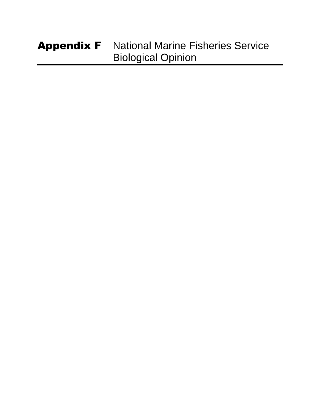### Appendix F National Marine Fisheries Service Biological Opinion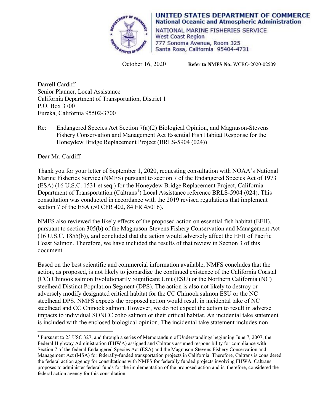

**UNITED STATES DEPARTMENT OF COMMERCE National Oceanic and Atmospheric Administration** 

NATIONAL MARINE FISHERIES SERVICE West Coast Region 777 Sonoma Avenue, Room 325 Santa Rosa, California 95404-4731

October 16, 2020 **Refer to NMFS No:** WCRO-2020-02509

Darrell Cardiff Senior Planner, Local Assistance California Department of Transportation, District 1 P.O. Box 3700 Eureka, California 95502-3700

Re: Endangered Species Act Section 7(a)(2) Biological Opinion, and Magnuson-Stevens Fishery Conservation and Management Act Essential Fish Habitat Response for the Honeydew Bridge Replacement Project (BRLS-5904 (024))

Dear Mr. Cardiff:

Thank you for your letter of September 1, 2020, requesting consultation with NOAA's National Marine Fisheries Service (NMFS) pursuant to section 7 of the Endangered Species Act of 1973 (ESA) (16 U.S.C. 1531 et seq.) for the Honeydew Bridge Replacement Project, California Department of Transportation (Caltrans<sup>[1](#page-1-0)</sup>) Local Assistance reference BRLS-5904 (024). This consultation was conducted in accordance with the 2019 revised regulations that implement section 7 of the ESA (50 CFR 402, 84 FR 45016).

NMFS also reviewed the likely effects of the proposed action on essential fish habitat (EFH), pursuant to section 305(b) of the Magnuson-Stevens Fishery Conservation and Management Act (16 U.S.C. 1855(b)), and concluded that the action would adversely affect the EFH of Pacific Coast Salmon. Therefore, we have included the results of that review in Section 3 of this document.

Based on the best scientific and commercial information available, NMFS concludes that the action, as proposed, is not likely to jeopardize the continued existence of the California Coastal (CC) Chinook salmon Evolutionarily Significant Unit (ESU) or the Northern California (NC) steelhead Distinct Population Segment (DPS). The action is also not likely to destroy or adversely modify designated critical habitat for the CC Chinook salmon ESU or the NC steelhead DPS. NMFS expects the proposed action would result in incidental take of NC steelhead and CC Chinook salmon. However, we do not expect the action to result in adverse impacts to individual SONCC coho salmon or their critical habitat. An incidental take statement is included with the enclosed biological opinion. The incidental take statement includes non-

<span id="page-1-0"></span> $\overline{a}$ <sup>1</sup> Pursuant to 23 USC 327, and through a series of Memorandum of Understandings beginning June 7, 2007, the Federal Highway Administration (FHWA) assigned and Caltrans assumed responsibility for compliance with Section 7 of the federal Endangered Species Act (ESA) and the Magnuson-Stevens Fishery Conservation and Management Act (MSA) for federally-funded transportation projects in California. Therefore, Caltrans is considered the federal action agency for consultations with NMFS for federally funded projects involving FHWA. Caltrans proposes to administer federal funds for the implementation of the proposed action and is, therefore, considered the federal action agency for this consultation.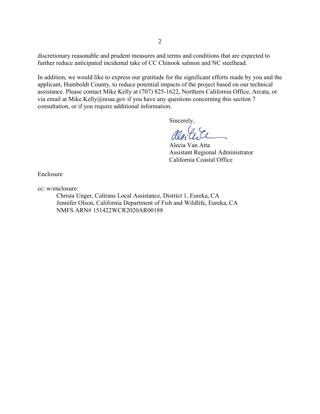discretionary reasonable and prudent measures and terms and conditions that are expected to further reduce anticipated incidental take of CC Chinook salmon and NC steelhead.

In addition, we would like to express our gratitude for the significant efforts made by you and the applicant, Humboldt County, to reduce potential impacts of the project based on our technical assistance. Please contact Mike Kelly at (707) 825-1622, Northern California Office, Arcata, or via email at [Mike.Kelly@noaa.gov](mailto:Mike.Kelly@noaa.gov) if you have any questions concerning this section 7 consultation, or if you require additional information.

Sincerely,

Alecia Van Atta Assistant Regional Administrator California Coastal Office

Enclosure

cc: w/enclosure:

Christa Unger, Caltrans Local Assistance, District 1, Eureka, CA Jennifer Olson, California Department of Fish and Wildlife, Eureka, CA NMFS ARN# 151422WCR2020AR00188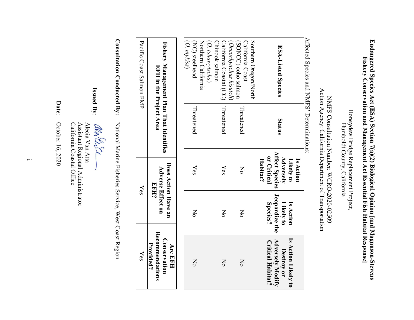# Endangered Species Act (ESA) Section 7(a)(2) Biological Opinion [and Magnuson-Stevens **Endangered Species Act (ESA) Section 7(a)(2) Biological Opinion [and Magnuson-Stevens**  Fishery Conservation and Management Act Essential Fish Habitat Response] **Fishery Conservation and Management Act Essential Fish Habitat Response]**

Honeydew Bridge Replacement Project, Honeydew Bridge Replacement Project, Humboldt County, California Humboldt County, California

## Action Agency: California Department of Transportation Action Agency: California Department of Transportation NMFS Consultation Number: WCRO-2020-02509 NMFS Consultation Number: WCRO-2020-02509

Affected Species and NMFS' Determinations: Affected Species and NMFS' Determinations:

| Provided?                                           |                            |                                                                |            |                                                                    |
|-----------------------------------------------------|----------------------------|----------------------------------------------------------------|------------|--------------------------------------------------------------------|
| Recommendations<br>Conservation<br><b>Are EFH</b>   |                            | Does Action Have an<br><b>Adverse Effect on</b><br><b>EFH?</b> |            | Fishery Management Plan That Identifies<br>EFH in the Project Area |
|                                                     |                            |                                                                |            |                                                                    |
|                                                     |                            |                                                                |            | (O. mykiss)                                                        |
| $\mathsf{X}^{\mathsf{O}}$                           | No                         | Yes                                                            | Threatened | (NC) steelhead                                                     |
|                                                     |                            |                                                                |            | Northern California                                                |
|                                                     |                            |                                                                |            | (O. tshawytscha)                                                   |
|                                                     |                            |                                                                |            | Chinook salmon                                                     |
| No                                                  | $\mathsf{N}^{\mathsf{o}}$  | Yes                                                            | Threatened | California Coastal (CC)                                            |
|                                                     |                            |                                                                |            | (Oncorhynchus kisutch)                                             |
| No                                                  | Σρ                         | $\mathsf{N}^{\mathsf{o}}$                                      | Threatened | (SONCC) coho salmon                                                |
|                                                     |                            |                                                                |            | California Coast                                                   |
|                                                     |                            |                                                                |            | Southern Oregon/North                                              |
| <b>Adversely Modify</b><br><b>Critical Habitat?</b> | Jeopardize the<br>Species? | <b>Affect Species</b><br>or Critical<br>Habitat?               |            |                                                                    |
| Is Action Likely to<br>Destroy or                   | Likely to<br>Is Action     | Adversely<br>Likely to                                         | Status     | <b>ESA-Listed Species</b>                                          |
|                                                     |                            | Is Action                                                      |            |                                                                    |

**Consultation Conducted By:** National Marine Fisheries Service, West Coast Region

Yes

Yes

Pacific Coast Salmon FMP

Pacific Coast Salmon FMP

**Issued By**:

Alecia Van Atta

California Coastal Office Assistant Regional Administrator **d By:**  $\begin{array}{l}\n\mathcal{U}(\mathcal{U}_k) \sim \\
\mathcal{U}(\mathcal{U}_k) \sim \\
\mathcal{U}_k \sim \mathcal{U}_k \sim \\
\mathcal{U}_k \sim \mathcal{U}_k \sim \\
\mathcal{U}_k \sim \mathcal{U}_k \sim \mathcal{U}_k \sim \\
\mathcal{U}_k \sim \mathcal{U}_k \sim \mathcal{U}_k \sim \mathcal{U}_k \sim \mathcal{U}_k \sim \mathcal{U}_k \sim \mathcal{U}_k \sim \mathcal{U}_k \sim \mathcal{U}_k \sim \mathcal{U}_k \sim \mathcal{U}_k \sim \mathcal{U$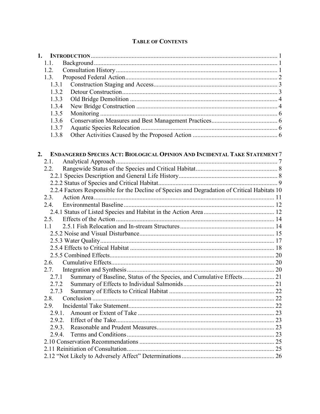|  | <b>TABLE OF CONTENTS</b> |
|--|--------------------------|
|--|--------------------------|

| 1. |              |                                                                                              |  |
|----|--------------|----------------------------------------------------------------------------------------------|--|
|    | 1.1.         |                                                                                              |  |
|    | 1.2.         |                                                                                              |  |
|    | 1.3.         |                                                                                              |  |
|    | 1.3.1        |                                                                                              |  |
|    | 1.3.2        |                                                                                              |  |
|    | 1.3.3        |                                                                                              |  |
|    | 1.3.4        |                                                                                              |  |
|    | 1.3.5        |                                                                                              |  |
|    | 1.3.6        |                                                                                              |  |
|    | 1.3.7        |                                                                                              |  |
|    | 1.3.8        |                                                                                              |  |
| 2. | 2.1.<br>2.2. | <b>ENDANGERED SPECIES ACT: BIOLOGICAL OPINION AND INCIDENTAL TAKE STATEMENT 7</b>            |  |
|    |              |                                                                                              |  |
|    |              |                                                                                              |  |
|    |              | 2.2.4 Factors Responsible for the Decline of Species and Degradation of Critical Habitats 10 |  |
|    | 2.3.         |                                                                                              |  |
|    | 2.4.         |                                                                                              |  |
|    |              |                                                                                              |  |
|    | 2.5.         |                                                                                              |  |
|    | 1.1          |                                                                                              |  |
|    |              |                                                                                              |  |
|    |              |                                                                                              |  |
|    |              |                                                                                              |  |
|    |              |                                                                                              |  |
|    | 2.6.         |                                                                                              |  |
|    | 2.7.         |                                                                                              |  |
|    | 2.7.1        | Summary of Baseline, Status of the Species, and Cumulative Effects 21                        |  |
|    |              |                                                                                              |  |
|    | 2.7.3        |                                                                                              |  |
|    | 2.8.         |                                                                                              |  |
|    | 2.9.         |                                                                                              |  |
|    | 2.9.1.       |                                                                                              |  |
|    | 2.9.2.       |                                                                                              |  |
|    | 2.9.3.       |                                                                                              |  |
|    | 2.9.4.       |                                                                                              |  |
|    |              |                                                                                              |  |
|    |              |                                                                                              |  |
|    |              |                                                                                              |  |
|    |              |                                                                                              |  |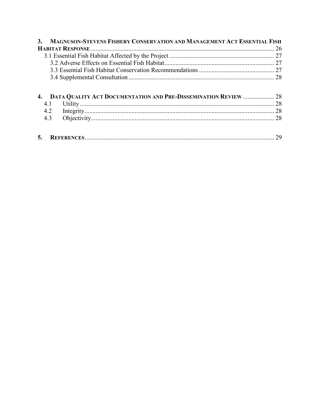| <b>3.</b> | MAGNUSON-STEVENS FISHERY CONSERVATION AND MANAGEMENT ACT ESSENTIAL FISH |  |
|-----------|-------------------------------------------------------------------------|--|
|           |                                                                         |  |
|           |                                                                         |  |
|           |                                                                         |  |
|           |                                                                         |  |
|           |                                                                         |  |
|           |                                                                         |  |
|           | DATA QUALITY ACT DOCUMENTATION AND PRE-DISSEMINATION REVIEW  28         |  |
|           | 4.1                                                                     |  |
|           | 4.2                                                                     |  |
|           | 4.3                                                                     |  |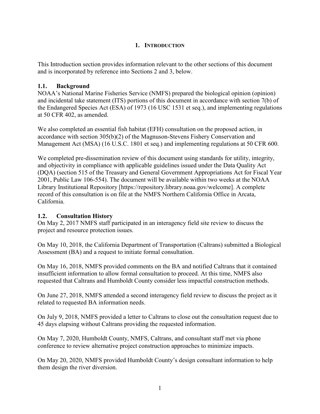#### **1. INTRODUCTION**

<span id="page-6-0"></span>This Introduction section provides information relevant to the other sections of this document and is incorporated by reference into Sections 2 and 3, below.

#### <span id="page-6-1"></span>**1.1. Background**

NOAA's National Marine Fisheries Service (NMFS) prepared the biological opinion (opinion) and incidental take statement (ITS) portions of this document in accordance with section 7(b) of the Endangered Species Act (ESA) of 1973 (16 USC 1531 et seq.), and implementing regulations at 50 CFR 402, as amended.

We also completed an essential fish habitat (EFH) consultation on the proposed action, in accordance with section 305(b)(2) of the Magnuson-Stevens Fishery Conservation and Management Act (MSA) (16 U.S.C. 1801 et seq.) and implementing regulations at 50 CFR 600.

We completed pre-dissemination review of this document using standards for utility, integrity, and objectivity in compliance with applicable guidelines issued under the Data Quality Act (DQA) (section 515 of the Treasury and General Government Appropriations Act for Fiscal Year 2001, Public Law 106-554). The document will be available within two weeks at the NOAA Library Institutional Repository [https://repository.library.noaa.gov/welcome]. A complete record of this consultation is on file at the NMFS Northern California Office in Arcata, California.

#### <span id="page-6-2"></span>**1.2. Consultation History**

On May 2, 2017 NMFS staff participated in an interagency field site review to discuss the project and resource protection issues.

On May 10, 2018, the California Department of Transportation (Caltrans) submitted a Biological Assessment (BA) and a request to initiate formal consultation.

On May 16, 2018, NMFS provided comments on the BA and notified Caltrans that it contained insufficient information to allow formal consultation to proceed. At this time, NMFS also requested that Caltrans and Humboldt County consider less impactful construction methods.

On June 27, 2018, NMFS attended a second interagency field review to discuss the project as it related to requested BA information needs.

On July 9, 2018, NMFS provided a letter to Caltrans to close out the consultation request due to 45 days elapsing without Caltrans providing the requested information.

On May 7, 2020, Humboldt County, NMFS, Caltrans, and consultant staff met via phone conference to review alternative project construction approaches to minimize impacts.

On May 20, 2020, NMFS provided Humboldt County's design consultant information to help them design the river diversion.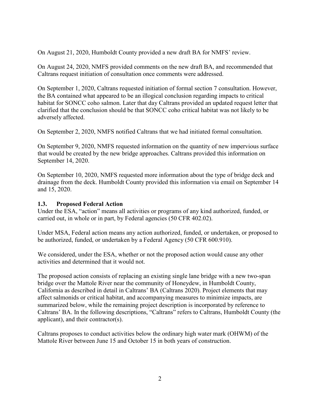On August 21, 2020, Humboldt County provided a new draft BA for NMFS' review.

On August 24, 2020, NMFS provided comments on the new draft BA, and recommended that Caltrans request initiation of consultation once comments were addressed.

On September 1, 2020, Caltrans requested initiation of formal section 7 consultation. However, the BA contained what appeared to be an illogical conclusion regarding impacts to critical habitat for SONCC coho salmon. Later that day Caltrans provided an updated request letter that clarified that the conclusion should be that SONCC coho critical habitat was not likely to be adversely affected.

On September 2, 2020, NMFS notified Caltrans that we had initiated formal consultation.

On September 9, 2020, NMFS requested information on the quantity of new impervious surface that would be created by the new bridge approaches. Caltrans provided this information on September 14, 2020.

On September 10, 2020, NMFS requested more information about the type of bridge deck and drainage from the deck. Humboldt County provided this information via email on September 14 and 15, 2020.

#### <span id="page-7-0"></span>**1.3. Proposed Federal Action**

Under the ESA, "action" means all activities or programs of any kind authorized, funded, or carried out, in whole or in part, by Federal agencies (50 CFR 402.02).

Under MSA, Federal action means any action authorized, funded, or undertaken, or proposed to be authorized, funded, or undertaken by a Federal Agency (50 CFR 600.910).

We considered, under the ESA, whether or not the proposed action would cause any other activities and determined that it would not.

The proposed action consists of replacing an existing single lane bridge with a new two-span bridge over the Mattole River near the community of Honeydew, in Humboldt County, California as described in detail in Caltrans' BA (Caltrans 2020). Project elements that may affect salmonids or critical habitat, and accompanying measures to minimize impacts, are summarized below, while the remaining project description is incorporated by reference to Caltrans' BA. In the following descriptions, "Caltrans" refers to Caltrans, Humboldt County (the applicant), and their contractor(s).

Caltrans proposes to conduct activities below the ordinary high water mark (OHWM) of the Mattole River between June 15 and October 15 in both years of construction.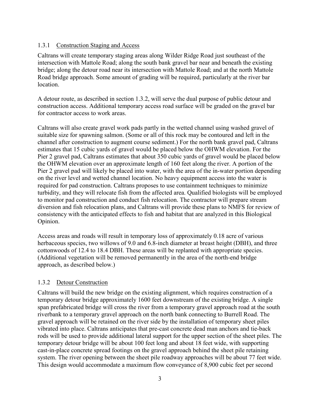#### <span id="page-8-0"></span>1.3.1 Construction Staging and Access

Caltrans will create temporary staging areas along Wilder Ridge Road just southeast of the intersection with Mattole Road; along the south bank gravel bar near and beneath the existing bridge; along the detour road near its intersection with Mattole Road; and at the north Mattole Road bridge approach. Some amount of grading will be required, particularly at the river bar location.

A detour route, as described in section 1.3.2, will serve the dual purpose of public detour and construction access. Additional temporary access road surface will be graded on the gravel bar for contractor access to work areas.

Caltrans will also create gravel work pads partly in the wetted channel using washed gravel of suitable size for spawning salmon. (Some or all of this rock may be contoured and left in the channel after construction to augment course sediment.) For the north bank gravel pad, Caltrans estimates that 15 cubic yards of gravel would be placed below the OHWM elevation. For the Pier 2 gravel pad, Caltrans estimates that about 350 cubic yards of gravel would be placed below the OHWM elevation over an approximate length of 160 feet along the river. A portion of the Pier 2 gravel pad will likely be placed into water, with the area of the in-water portion depending on the river level and wetted channel location. No heavy equipment access into the water is required for pad construction. Caltrans proposes to use containment techniques to minimize turbidity, and they will relocate fish from the affected area. Qualified biologists will be employed to monitor pad construction and conduct fish relocation. The contractor will prepare stream diversion and fish relocation plans, and Caltrans will provide these plans to NMFS for review of consistency with the anticipated effects to fish and habitat that are analyzed in this Biological Opinion.

Access areas and roads will result in temporary loss of approximately 0.18 acre of various herbaceous species, two willows of 9.0 and 6.8-inch diameter at breast height (DBH), and three cottonwoods of 12.4 to 18.4 DBH. These areas will be replanted with appropriate species. (Additional vegetation will be removed permanently in the area of the north-end bridge approach, as described below.)

#### <span id="page-8-1"></span>1.3.2 Detour Construction

Caltrans will build the new bridge on the existing alignment, which requires construction of a temporary detour bridge approximately 1600 feet downstream of the existing bridge. A single span prefabricated bridge will cross the river from a temporary gravel approach road at the south riverbank to a temporary gravel approach on the north bank connecting to Burrell Road. The gravel approach will be retained on the river side by the installation of temporary sheet piles vibrated into place. Caltrans anticipates that pre-cast concrete dead man anchors and tie-back rods will be used to provide additional lateral support for the upper section of the sheet piles. The temporary detour bridge will be about 100 feet long and about 18 feet wide, with supporting cast-in-place concrete spread footings on the gravel approach behind the sheet pile retaining system. The river opening between the sheet pile roadway approaches will be about 77 feet wide. This design would accommodate a maximum flow conveyance of 8,900 cubic feet per second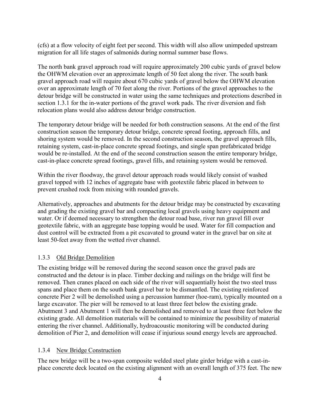(cfs) at a flow velocity of eight feet per second. This width will also allow unimpeded upstream migration for all life stages of salmonids during normal summer base flows.

The north bank gravel approach road will require approximately 200 cubic yards of gravel below the OHWM elevation over an approximate length of 50 feet along the river. The south bank gravel approach road will require about 670 cubic yards of gravel below the OHWM elevation over an approximate length of 70 feet along the river. Portions of the gravel approaches to the detour bridge will be constructed in water using the same techniques and protections described in section 1.3.1 for the in-water portions of the gravel work pads. The river diversion and fish relocation plans would also address detour bridge construction.

The temporary detour bridge will be needed for both construction seasons. At the end of the first construction season the temporary detour bridge, concrete spread footing, approach fills, and shoring system would be removed. In the second construction season, the gravel approach fills, retaining system, cast-in-place concrete spread footings, and single span prefabricated bridge would be re-installed. At the end of the second construction season the entire temporary bridge, cast-in-place concrete spread footings, gravel fills, and retaining system would be removed.

Within the river floodway, the gravel detour approach roads would likely consist of washed gravel topped with 12 inches of aggregate base with geotextile fabric placed in between to prevent crushed rock from mixing with rounded gravels.

Alternatively, approaches and abutments for the detour bridge may be constructed by excavating and grading the existing gravel bar and compacting local gravels using heavy equipment and water. Or if deemed necessary to strengthen the detour road base, river run gravel fill over geotextile fabric, with an aggregate base topping would be used. Water for fill compaction and dust control will be extracted from a pit excavated to ground water in the gravel bar on site at least 50-feet away from the wetted river channel.

#### <span id="page-9-0"></span>1.3.3 Old Bridge Demolition

The existing bridge will be removed during the second season once the gravel pads are constructed and the detour is in place. Timber decking and railings on the bridge will first be removed. Then cranes placed on each side of the river will sequentially hoist the two steel truss spans and place them on the south bank gravel bar to be dismantled. The existing reinforced concrete Pier 2 will be demolished using a percussion hammer (hoe-ram), typically mounted on a large excavator. The pier will be removed to at least three feet below the existing grade. Abutment 3 and Abutment 1 will then be demolished and removed to at least three feet below the existing grade. All demolition materials will be contained to minimize the possibility of material entering the river channel. Additionally, hydroacoustic monitoring will be conducted during demolition of Pier 2, and demolition will cease if injurious sound energy levels are approached.

#### <span id="page-9-1"></span>1.3.4 New Bridge Construction

The new bridge will be a two-span composite welded steel plate girder bridge with a cast-inplace concrete deck located on the existing alignment with an overall length of 375 feet. The new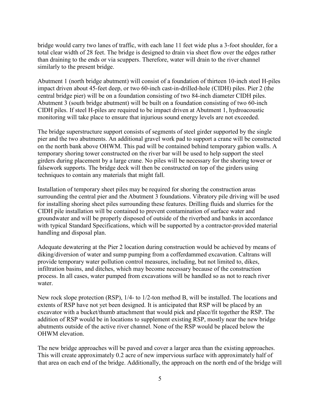bridge would carry two lanes of traffic, with each lane 11 feet wide plus a 3-foot shoulder, for a total clear width of 28 feet. The bridge is designed to drain via sheet flow over the edges rather than draining to the ends or via scuppers. Therefore, water will drain to the river channel similarly to the present bridge.

Abutment 1 (north bridge abutment) will consist of a foundation of thirteen 10-inch steel H-piles impact driven about 45-feet deep, or two 60-inch cast-in-drilled-hole (CIDH) piles. Pier 2 (the central bridge pier) will be on a foundation consisting of two 84-inch diameter CIDH piles. Abutment 3 (south bridge abutment) will be built on a foundation consisting of two 60-inch CIDH piles. If steel H-piles are required to be impact driven at Abutment 1, hydroacoustic monitoring will take place to ensure that injurious sound energy levels are not exceeded.

The bridge superstructure support consists of segments of steel girder supported by the single pier and the two abutments. An additional gravel work pad to support a crane will be constructed on the north bank above OHWM. This pad will be contained behind temporary gabion walls. A temporary shoring tower constructed on the river bar will be used to help support the steel girders during placement by a large crane. No piles will be necessary for the shoring tower or falsework supports. The bridge deck will then be constructed on top of the girders using techniques to contain any materials that might fall.

Installation of temporary sheet piles may be required for shoring the construction areas surrounding the central pier and the Abutment 3 foundations. Vibratory pile driving will be used for installing shoring sheet piles surrounding these features. Drilling fluids and slurries for the CIDH pile installation will be contained to prevent contamination of surface water and groundwater and will be properly disposed of outside of the riverbed and banks in accordance with typical Standard Specifications, which will be supported by a contractor-provided material handling and disposal plan.

Adequate dewatering at the Pier 2 location during construction would be achieved by means of diking/diversion of water and sump pumping from a cofferdammed excavation. Caltrans will provide temporary water pollution control measures, including, but not limited to, dikes, infiltration basins, and ditches, which may become necessary because of the construction process. In all cases, water pumped from excavations will be handled so as not to reach river water.

New rock slope protection (RSP), 1/4- to 1/2-ton method B, will be installed. The locations and extents of RSP have not yet been designed. It is anticipated that RSP will be placed by an excavator with a bucket/thumb attachment that would pick and place/fit together the RSP. The addition of RSP would be in locations to supplement existing RSP, mostly near the new bridge abutments outside of the active river channel. None of the RSP would be placed below the OHWM elevation.

The new bridge approaches will be paved and cover a larger area than the existing approaches. This will create approximately 0.2 acre of new impervious surface with approximately half of that area on each end of the bridge. Additionally, the approach on the north end of the bridge will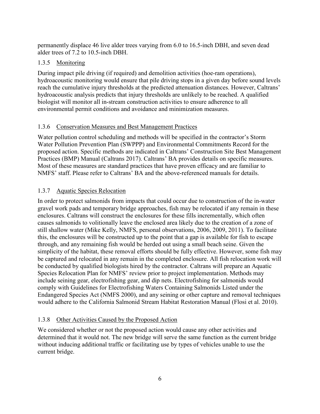permanently displace 46 live alder trees varying from 6.0 to 16.5-inch DBH, and seven dead alder trees of 7.2 to 10.5-inch DBH.

#### <span id="page-11-0"></span>1.3.5 Monitoring

During impact pile driving (if required) and demolition activities (hoe-ram operations), hydroacoustic monitoring would ensure that pile driving stops in a given day before sound levels reach the cumulative injury thresholds at the predicted attenuation distances. However, Caltrans' hydroacoustic analysis predicts that injury thresholds are unlikely to be reached. A qualified biologist will monitor all in-stream construction activities to ensure adherence to all environmental permit conditions and avoidance and minimization measures.

#### <span id="page-11-1"></span>1.3.6 Conservation Measures and Best Management Practices

Water pollution control scheduling and methods will be specified in the contractor's Storm Water Pollution Prevention Plan (SWPPP) and Environmental Commitments Record for the proposed action. Specific methods are indicated in Caltrans' Construction Site Best Management Practices (BMP) Manual (Caltrans 2017). Caltrans' BA provides details on specific measures. Most of these measures are standard practices that have proven efficacy and are familiar to NMFS' staff. Please refer to Caltrans' BA and the above-referenced manuals for details.

#### <span id="page-11-2"></span>1.3.7 Aquatic Species Relocation

In order to protect salmonids from impacts that could occur due to construction of the in-water gravel work pads and temporary bridge approaches, fish may be relocated if any remain in these enclosures. Caltrans will construct the enclosures for these fills incrementally, which often causes salmonids to volitionally leave the enclosed area likely due to the creation of a zone of still shallow water (Mike Kelly, NMFS, personal observations, 2006, 2009, 2011). To facilitate this, the enclosures will be constructed up to the point that a gap is available for fish to escape through, and any remaining fish would be herded out using a small beach seine. Given the simplicity of the habitat, these removal efforts should be fully effective. However, some fish may be captured and relocated in any remain in the completed enclosure. All fish relocation work will be conducted by qualified biologists hired by the contractor. Caltrans will prepare an Aquatic Species Relocation Plan for NMFS' review prior to project implementation. Methods may include seining gear, electrofishing gear, and dip nets. Electrofishing for salmonids would comply with Guidelines for Electrofishing Waters Containing Salmonids Listed under the Endangered Species Act (NMFS 2000), and any seining or other capture and removal techniques would adhere to the California Salmonid Stream Habitat Restoration Manual (Flosi et al. 2010).

#### <span id="page-11-3"></span>1.3.8 Other Activities Caused by the Proposed Action

We considered whether or not the proposed action would cause any other activities and determined that it would not. The new bridge will serve the same function as the current bridge without inducing additional traffic or facilitating use by types of vehicles unable to use the current bridge.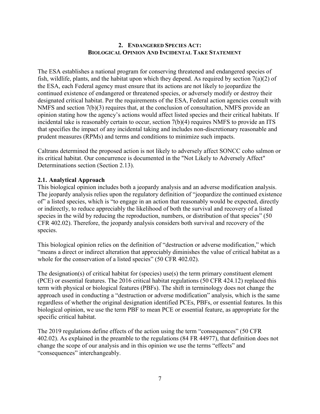#### **2. ENDANGERED SPECIES ACT: BIOLOGICAL OPINION AND INCIDENTAL TAKE STATEMENT**

<span id="page-12-0"></span>The ESA establishes a national program for conserving threatened and endangered species of fish, wildlife, plants, and the habitat upon which they depend. As required by section  $7(a)(2)$  of the ESA, each Federal agency must ensure that its actions are not likely to jeopardize the continued existence of endangered or threatened species, or adversely modify or destroy their designated critical habitat. Per the requirements of the ESA, Federal action agencies consult with NMFS and section 7(b)(3) requires that, at the conclusion of consultation, NMFS provide an opinion stating how the agency's actions would affect listed species and their critical habitats. If incidental take is reasonably certain to occur, section 7(b)(4) requires NMFS to provide an ITS that specifies the impact of any incidental taking and includes non-discretionary reasonable and prudent measures (RPMs) and terms and conditions to minimize such impacts.

Caltrans determined the proposed action is not likely to adversely affect SONCC coho salmon or its critical habitat. Our concurrence is documented in the "Not Likely to Adversely Affect" Determinations section (Section 2.13).

#### <span id="page-12-1"></span>**2.1. Analytical Approach**

This biological opinion includes both a jeopardy analysis and an adverse modification analysis. The jeopardy analysis relies upon the regulatory definition of "jeopardize the continued existence of" a listed species, which is "to engage in an action that reasonably would be expected, directly or indirectly, to reduce appreciably the likelihood of both the survival and recovery of a listed species in the wild by reducing the reproduction, numbers, or distribution of that species" (50) CFR 402.02). Therefore, the jeopardy analysis considers both survival and recovery of the species.

This biological opinion relies on the definition of "destruction or adverse modification," which "means a direct or indirect alteration that appreciably diminishes the value of critical habitat as a whole for the conservation of a listed species" (50 CFR 402.02).

The designation(s) of critical habitat for (species) use(s) the term primary constituent element (PCE) or essential features. The 2016 critical habitat regulations (50 CFR 424.12) replaced this term with physical or biological features (PBFs). The shift in terminology does not change the approach used in conducting a "destruction or adverse modification" analysis, which is the same regardless of whether the original designation identified PCEs, PBFs, or essential features. In this biological opinion, we use the term PBF to mean PCE or essential feature, as appropriate for the specific critical habitat.

The 2019 regulations define effects of the action using the term "consequences" (50 CFR 402.02). As explained in the preamble to the regulations (84 FR 44977), that definition does not change the scope of our analysis and in this opinion we use the terms "effects" and "consequences" interchangeably.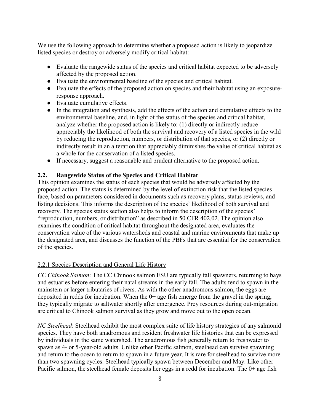We use the following approach to determine whether a proposed action is likely to jeopardize listed species or destroy or adversely modify critical habitat:

- Evaluate the rangewide status of the species and critical habitat expected to be adversely affected by the proposed action.
- Evaluate the environmental baseline of the species and critical habitat.
- Evaluate the effects of the proposed action on species and their habitat using an exposureresponse approach.
- Evaluate cumulative effects.
- In the integration and synthesis, add the effects of the action and cumulative effects to the environmental baseline, and, in light of the status of the species and critical habitat, analyze whether the proposed action is likely to: (1) directly or indirectly reduce appreciably the likelihood of both the survival and recovery of a listed species in the wild by reducing the reproduction, numbers, or distribution of that species, or (2) directly or indirectly result in an alteration that appreciably diminishes the value of critical habitat as a whole for the conservation of a listed species.
- <span id="page-13-0"></span>● If necessary, suggest a reasonable and prudent alternative to the proposed action.

#### **2.2. Rangewide Status of the Species and Critical Habitat**

This opinion examines the status of each species that would be adversely affected by the proposed action. The status is determined by the level of extinction risk that the listed species face, based on parameters considered in documents such as recovery plans, status reviews, and listing decisions. This informs the description of the species' likelihood of both survival and recovery. The species status section also helps to inform the description of the species' "reproduction, numbers, or distribution" as described in 50 CFR 402.02. The opinion also examines the condition of critical habitat throughout the designated area, evaluates the conservation value of the various watersheds and coastal and marine environments that make up the designated area, and discusses the function of the PBFs that are essential for the conservation of the species.

#### <span id="page-13-1"></span>2.2.1 Species Description and General Life History

*CC Chinook Salmon*: The CC Chinook salmon ESU are typically fall spawners, returning to bays and estuaries before entering their natal streams in the early fall. The adults tend to spawn in the mainstem or larger tributaries of rivers. As with the other anadromous salmon, the eggs are deposited in redds for incubation. When the 0+ age fish emerge from the gravel in the spring, they typically migrate to saltwater shortly after emergence. Prey resources during out-migration are critical to Chinook salmon survival as they grow and move out to the open ocean.

*NC Steelhead*: Steelhead exhibit the most complex suite of life history strategies of any salmonid species. They have both anadromous and resident freshwater life histories that can be expressed by individuals in the same watershed. The anadromous fish generally return to freshwater to spawn as 4- or 5-year-old adults. Unlike other Pacific salmon, steelhead can survive spawning and return to the ocean to return to spawn in a future year. It is rare for steelhead to survive more than two spawning cycles. Steelhead typically spawn between December and May. Like other Pacific salmon, the steelhead female deposits her eggs in a redd for incubation. The 0+ age fish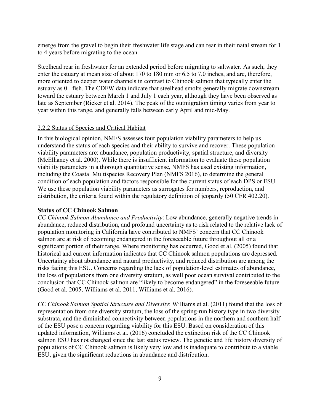emerge from the gravel to begin their freshwater life stage and can rear in their natal stream for 1 to 4 years before migrating to the ocean.

Steelhead rear in freshwater for an extended period before migrating to saltwater. As such, they enter the estuary at mean size of about 170 to 180 mm or 6.5 to 7.0 inches, and are, therefore, more oriented to deeper water channels in contrast to Chinook salmon that typically enter the estuary as 0+ fish. The CDFW data indicate that steelhead smolts generally migrate downstream toward the estuary between March 1 and July 1 each year, although they have been observed as late as September (Ricker et al. 2014). The peak of the outmigration timing varies from year to year within this range, and generally falls between early April and mid‐May.

#### <span id="page-14-0"></span>2.2.2 Status of Species and Critical Habitat

In this biological opinion, NMFS assesses four population viability parameters to help us understand the status of each species and their ability to survive and recover. These population viability parameters are: abundance, population productivity, spatial structure, and diversity (McElhaney et al. 2000). While there is insufficient information to evaluate these population viability parameters in a thorough quantitative sense, NMFS has used existing information, including the Coastal Multispecies Recovery Plan (NMFS 2016), to determine the general condition of each population and factors responsible for the current status of each DPS or ESU. We use these population viability parameters as surrogates for numbers, reproduction, and distribution, the criteria found within the regulatory definition of jeopardy (50 CFR 402.20).

#### **Status of CC Chinook Salmon**

*CC Chinook Salmon Abundance and Productivity*: Low abundance, generally negative trends in abundance, reduced distribution, and profound uncertainty as to risk related to the relative lack of population monitoring in California have contributed to NMFS' concern that CC Chinook salmon are at risk of becoming endangered in the foreseeable future throughout all or a significant portion of their range. Where monitoring has occurred, Good et al. (2005) found that historical and current information indicates that CC Chinook salmon populations are depressed. Uncertainty about abundance and natural productivity, and reduced distribution are among the risks facing this ESU. Concerns regarding the lack of population-level estimates of abundance, the loss of populations from one diversity stratum, as well poor ocean survival contributed to the conclusion that CC Chinook salmon are "likely to become endangered" in the foreseeable future (Good et al. 2005, Williams et al. 2011, Williams et al. 2016).

*CC Chinook Salmon Spatial Structure and Diversity*: Williams et al. (2011) found that the loss of representation from one diversity stratum, the loss of the spring-run history type in two diversity substrata, and the diminished connectivity between populations in the northern and southern half of the ESU pose a concern regarding viability for this ESU. Based on consideration of this updated information, Williams et al. (2016) concluded the extinction risk of the CC Chinook salmon ESU has not changed since the last status review. The genetic and life history diversity of populations of CC Chinook salmon is likely very low and is inadequate to contribute to a viable ESU, given the significant reductions in abundance and distribution.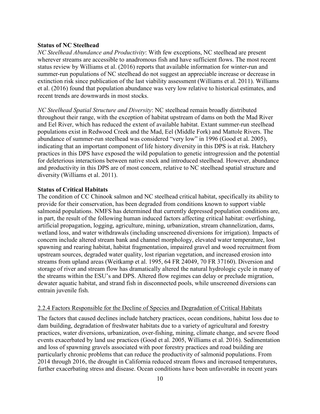#### **Status of NC Steelhead**

*NC Steelhead Abundance and Productivity*: With few exceptions, NC steelhead are present wherever streams are accessible to anadromous fish and have sufficient flows. The most recent status review by Williams et al. (2016) reports that available information for winter-run and summer-run populations of NC steelhead do not suggest an appreciable increase or decrease in extinction risk since publication of the last viability assessment (Williams et al. 2011). Williams et al. (2016) found that population abundance was very low relative to historical estimates, and recent trends are downwards in most stocks.

*NC Steelhead Spatial Structure and Diversity*: NC steelhead remain broadly distributed throughout their range, with the exception of habitat upstream of dams on both the Mad River and Eel River, which has reduced the extent of available habitat. Extant summer-run steelhead populations exist in Redwood Creek and the Mad, Eel (Middle Fork) and Mattole Rivers. The abundance of summer-run steelhead was considered "very low" in 1996 (Good et al. 2005), indicating that an important component of life history diversity in this DPS is at risk. Hatchery practices in this DPS have exposed the wild population to genetic introgression and the potential for deleterious interactions between native stock and introduced steelhead. However, abundance and productivity in this DPS are of most concern, relative to NC steelhead spatial structure and diversity (Williams et al. 2011).

#### **Status of Critical Habitats**

The condition of CC Chinook salmon and NC steelhead critical habitat, specifically its ability to provide for their conservation, has been degraded from conditions known to support viable salmonid populations. NMFS has determined that currently depressed population conditions are, in part, the result of the following human induced factors affecting critical habitat: overfishing, artificial propagation, logging, agriculture, mining, urbanization, stream channelization, dams, wetland loss, and water withdrawals (including unscreened diversions for irrigation). Impacts of concern include altered stream bank and channel morphology, elevated water temperature, lost spawning and rearing habitat, habitat fragmentation, impaired gravel and wood recruitment from upstream sources, degraded water quality, lost riparian vegetation, and increased erosion into streams from upland areas (Weitkamp et al. 1995, 64 FR 24049, 70 FR 37160). Diversion and storage of river and stream flow has dramatically altered the natural hydrologic cycle in many of the streams within the ESU's and DPS. Altered flow regimes can delay or preclude migration, dewater aquatic habitat, and strand fish in disconnected pools, while unscreened diversions can entrain juvenile fish.

#### <span id="page-15-0"></span>2.2.4 Factors Responsible for the Decline of Species and Degradation of Critical Habitats

The factors that caused declines include hatchery practices, ocean conditions, habitat loss due to dam building, degradation of freshwater habitats due to a variety of agricultural and forestry practices, water diversions, urbanization, over-fishing, mining, climate change, and severe flood events exacerbated by land use practices (Good et al. 2005, Williams et al. 2016). Sedimentation and loss of spawning gravels associated with poor forestry practices and road building are particularly chronic problems that can reduce the productivity of salmonid populations. From 2014 through 2016, the drought in California reduced stream flows and increased temperatures, further exacerbating stress and disease. Ocean conditions have been unfavorable in recent years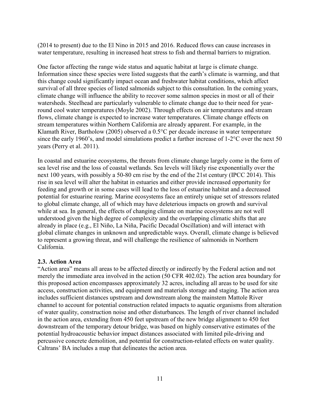(2014 to present) due to the El Nino in 2015 and 2016. Reduced flows can cause increases in water temperature, resulting in increased heat stress to fish and thermal barriers to migration.

One factor affecting the range wide status and aquatic habitat at large is climate change. Information since these species were listed suggests that the earth's climate is warming, and that this change could significantly impact ocean and freshwater habitat conditions, which affect survival of all three species of listed salmonids subject to this consultation. In the coming years, climate change will influence the ability to recover some salmon species in most or all of their watersheds. Steelhead are particularly vulnerable to climate change due to their need for yearround cool water temperatures (Moyle 2002). Through effects on air temperatures and stream flows, climate change is expected to increase water temperatures. Climate change effects on stream temperatures within Northern California are already apparent. For example, in the Klamath River, Bartholow (2005) observed a 0.5°C per decade increase in water temperature since the early 1960's, and model simulations predict a further increase of 1-2°C over the next 50 years (Perry et al. 2011).

In coastal and estuarine ecosystems, the threats from climate change largely come in the form of sea level rise and the loss of coastal wetlands. Sea levels will likely rise exponentially over the next 100 years, with possibly a 50-80 cm rise by the end of the 21st century (IPCC 2014). This rise in sea level will alter the habitat in estuaries and either provide increased opportunity for feeding and growth or in some cases will lead to the loss of estuarine habitat and a decreased potential for estuarine rearing. Marine ecosystems face an entirely unique set of stressors related to global climate change, all of which may have deleterious impacts on growth and survival while at sea. In general, the effects of changing climate on marine ecosystems are not well understood given the high degree of complexity and the overlapping climatic shifts that are already in place (e.g., El Niño, La Niña, Pacific Decadal Oscillation) and will interact with global climate changes in unknown and unpredictable ways. Overall, climate change is believed to represent a growing threat, and will challenge the resilience of salmonids in Northern California.

#### <span id="page-16-0"></span>**2.3. Action Area**

"Action area" means all areas to be affected directly or indirectly by the Federal action and not merely the immediate area involved in the action (50 CFR 402.02). The action area boundary for this proposed action encompasses approximately 32 acres, including all areas to be used for site access, construction activities, and equipment and materials storage and staging. The action area includes sufficient distances upstream and downstream along the mainstem Mattole River channel to account for potential construction related impacts to aquatic organisms from alteration of water quality, construction noise and other disturbances. The length of river channel included in the action area, extending from 450 feet upstream of the new bridge alignment to 450 feet downstream of the temporary detour bridge, was based on highly conservative estimates of the potential hydroacoustic behavior impact distances associated with limited pile-driving and percussive concrete demolition, and potential for construction-related effects on water quality. Caltrans' BA includes a map that delineates the action area.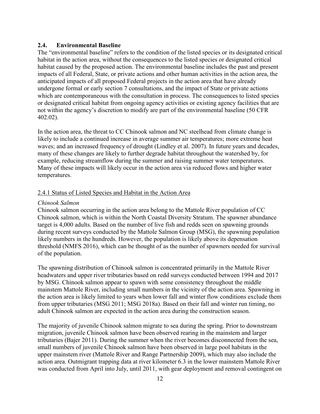#### <span id="page-17-0"></span>**2.4. Environmental Baseline**

The "environmental baseline" refers to the condition of the listed species or its designated critical habitat in the action area, without the consequences to the listed species or designated critical habitat caused by the proposed action. The environmental baseline includes the past and present impacts of all Federal, State, or private actions and other human activities in the action area, the anticipated impacts of all proposed Federal projects in the action area that have already undergone formal or early section 7 consultations, and the impact of State or private actions which are contemporaneous with the consultation in process. The consequences to listed species or designated critical habitat from ongoing agency activities or existing agency facilities that are not within the agency's discretion to modify are part of the environmental baseline (50 CFR 402.02).

In the action area, the threat to CC Chinook salmon and NC steelhead from climate change is likely to include a continued increase in average summer air temperatures; more extreme heat waves; and an increased frequency of drought (Lindley et al. 2007). In future years and decades, many of these changes are likely to further degrade habitat throughout the watershed by, for example, reducing streamflow during the summer and raising summer water temperatures. Many of these impacts will likely occur in the action area via reduced flows and higher water temperatures.

#### <span id="page-17-1"></span>2.4.1 Status of Listed Species and Habitat in the Action Area

#### *Chinook Salmon*

Chinook salmon occurring in the action area belong to the Mattole River population of CC Chinook salmon, which is within the North Coastal Diversity Stratum. The spawner abundance target is 4,000 adults. Based on the number of live fish and redds seen on spawning grounds during recent surveys conducted by the Mattole Salmon Group (MSG), the spawning population likely numbers in the hundreds. However, the population is likely above its depensation threshold (NMFS 2016), which can be thought of as the number of spawners needed for survival of the population.

The spawning distribution of Chinook salmon is concentrated primarily in the Mattole River headwaters and upper river tributaries based on redd surveys conducted between 1994 and 2017 by MSG. Chinook salmon appear to spawn with some consistency throughout the middle mainstem Mattole River, including small numbers in the vicinity of the action area. Spawning in the action area is likely limited to years when lower fall and winter flow conditions exclude them from upper tributaries (MSG 2011; MSG 2018a). Based on their fall and winter run timing, no adult Chinook salmon are expected in the action area during the construction season.

The majority of juvenile Chinook salmon migrate to sea during the spring. Prior to downstream migration, juvenile Chinook salmon have been observed rearing in the mainstem and larger tributaries (Bajer 2011). During the summer when the river becomes disconnected from the sea, small numbers of juvenile Chinook salmon have been observed in large pool habitats in the upper mainstem river (Mattole River and Range Partnership 2009), which may also include the action area. Outmigrant trapping data at river kilometer 6.3 in the lower mainstem Mattole River was conducted from April into July, until 2011, with gear deployment and removal contingent on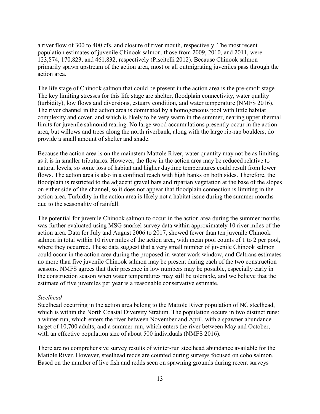a river flow of 300 to 400 cfs, and closure of river mouth, respectively. The most recent population estimates of juvenile Chinook salmon, those from 2009, 2010, and 2011, were 123,874, 170,823, and 461,832, respectively (Piscitelli 2012). Because Chinook salmon primarily spawn upstream of the action area, most or all outmigrating juveniles pass through the action area.

The life stage of Chinook salmon that could be present in the action area is the pre-smolt stage. The key limiting stresses for this life stage are shelter, floodplain connectivity, water quality (turbidity), low flows and diversions, estuary condition, and water temperature (NMFS 2016). The river channel in the action area is dominated by a homogeneous pool with little habitat complexity and cover, and which is likely to be very warm in the summer, nearing upper thermal limits for juvenile salmonid rearing. No large wood accumulations presently occur in the action area, but willows and trees along the north riverbank, along with the large rip-rap boulders, do provide a small amount of shelter and shade.

Because the action area is on the mainstem Mattole River, water quantity may not be as limiting as it is in smaller tributaries. However, the flow in the action area may be reduced relative to natural levels, so some loss of habitat and higher daytime temperatures could result from lower flows. The action area is also in a confined reach with high banks on both sides. Therefore, the floodplain is restricted to the adjacent gravel bars and riparian vegetation at the base of the slopes on either side of the channel, so it does not appear that floodplain connection is limiting in the action area. Turbidity in the action area is likely not a habitat issue during the summer months due to the seasonality of rainfall.

The potential for juvenile Chinook salmon to occur in the action area during the summer months was further evaluated using MSG snorkel survey data within approximately 10 river miles of the action area. Data for July and August 2006 to 2017, showed fewer than ten juvenile Chinook salmon in total within 10 river miles of the action area, with mean pool counts of 1 to 2 per pool, where they occurred. These data suggest that a very small number of juvenile Chinook salmon could occur in the action area during the proposed in-water work window, and Caltrans estimates no more than five juvenile Chinook salmon may be present during each of the two construction seasons. NMFS agrees that their presence in low numbers may be possible, especially early in the construction season when water temperatures may still be tolerable, and we believe that the estimate of five juveniles per year is a reasonable conservative estimate.

#### *Steelhead*

Steelhead occurring in the action area belong to the Mattole River population of NC steelhead, which is within the North Coastal Diversity Stratum. The population occurs in two distinct runs: a winter-run, which enters the river between November and April, with a spawner abundance target of 10,700 adults; and a summer-run, which enters the river between May and October, with an effective population size of about 500 individuals (NMFS 2016).

There are no comprehensive survey results of winter-run steelhead abundance available for the Mattole River. However, steelhead redds are counted during surveys focused on coho salmon. Based on the number of live fish and redds seen on spawning grounds during recent surveys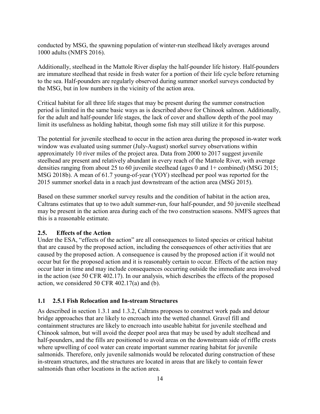conducted by MSG, the spawning population of winter-run steelhead likely averages around 1000 adults (NMFS 2016).

Additionally, steelhead in the Mattole River display the half-pounder life history. Half-pounders are immature steelhead that reside in fresh water for a portion of their life cycle before returning to the sea. Half-pounders are regularly observed during summer snorkel surveys conducted by the MSG, but in low numbers in the vicinity of the action area.

Critical habitat for all three life stages that may be present during the summer construction period is limited in the same basic ways as is described above for Chinook salmon. Additionally, for the adult and half-pounder life stages, the lack of cover and shallow depth of the pool may limit its usefulness as holding habitat, though some fish may still utilize it for this purpose.

The potential for juvenile steelhead to occur in the action area during the proposed in-water work window was evaluated using summer (July-August) snorkel survey observations within approximately 10 river miles of the project area. Data from 2000 to 2017 suggest juvenile steelhead are present and relatively abundant in every reach of the Mattole River, with average densities ranging from about 25 to 60 juvenile steelhead (ages 0 and 1+ combined) (MSG 2015; MSG 2018b). A mean of 61.7 young-of-year (YOY) steelhead per pool was reported for the 2015 summer snorkel data in a reach just downstream of the action area (MSG 2015).

Based on these summer snorkel survey results and the condition of habitat in the action area, Caltrans estimates that up to two adult summer-run, four half-pounder, and 50 juvenile steelhead may be present in the action area during each of the two construction seasons. NMFS agrees that this is a reasonable estimate.

#### <span id="page-19-0"></span>**2.5. Effects of the Action**

Under the ESA, "effects of the action" are all consequences to listed species or critical habitat that are caused by the proposed action, including the consequences of other activities that are caused by the proposed action. A consequence is caused by the proposed action if it would not occur but for the proposed action and it is reasonably certain to occur. Effects of the action may occur later in time and may include consequences occurring outside the immediate area involved in the action (see 50 CFR 402.17). In our analysis, which describes the effects of the proposed action, we considered 50 CFR 402.17(a) and (b).

#### <span id="page-19-1"></span>**1.1 2.5.1 Fish Relocation and In-stream Structures**

As described in section 1.3.1 and 1.3.2, Caltrans proposes to construct work pads and detour bridge approaches that are likely to encroach into the wetted channel. Gravel fill and containment structures are likely to encroach into useable habitat for juvenile steelhead and Chinook salmon, but will avoid the deeper pool area that may be used by adult steelhead and half-pounders, and the fills are positioned to avoid areas on the downstream side of riffle crests where upwelling of cool water can create important summer rearing habitat for juvenile salmonids. Therefore, only juvenile salmonids would be relocated during construction of these in-stream structures, and the structures are located in areas that are likely to contain fewer salmonids than other locations in the action area.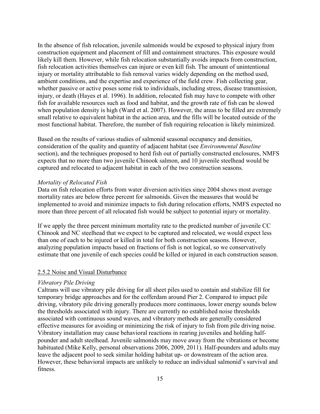In the absence of fish relocation, juvenile salmonids would be exposed to physical injury from construction equipment and placement of fill and containment structures. This exposure would likely kill them. However, while fish relocation substantially avoids impacts from construction, fish relocation activities themselves can injure or even kill fish. The amount of unintentional injury or mortality attributable to fish removal varies widely depending on the method used, ambient conditions, and the expertise and experience of the field crew. Fish collecting gear, whether passive or active poses some risk to individuals, including stress, disease transmission, injury, or death (Hayes et al. 1996). In addition, relocated fish may have to compete with other fish for available resources such as food and habitat, and the growth rate of fish can be slowed when population density is high (Ward et al. 2007). However, the areas to be filled are extremely small relative to equivalent habitat in the action area, and the fills will be located outside of the most functional habitat. Therefore, the number of fish requiring relocation is likely minimized.

Based on the results of various studies of salmonid seasonal occupancy and densities, consideration of the quality and quantity of adjacent habitat (see *Environmental Baseline* section), and the techniques proposed to herd fish out of partially constructed enclosures, NMFS expects that no more than two juvenile Chinook salmon, and 10 juvenile steelhead would be captured and relocated to adjacent habitat in each of the two construction seasons.

#### *Mortality of Relocated Fish*

Data on fish relocation efforts from water diversion activities since 2004 shows most average mortality rates are below three percent for salmonids. Given the measures that would be implemented to avoid and minimize impacts to fish during relocation efforts, NMFS expected no more than three percent of all relocated fish would be subject to potential injury or mortality.

If we apply the three percent minimum mortality rate to the predicted number of juvenile CC Chinook and NC steelhead that we expect to be captured and relocated, we would expect less than one of each to be injured or killed in total for both construction seasons. However, analyzing population impacts based on fractions of fish is not logical, so we conservatively estimate that one juvenile of each species could be killed or injured in each construction season.

#### <span id="page-20-0"></span>2.5.2 Noise and Visual Disturbance

#### *Vibratory Pile Driving*

Caltrans will use vibratory pile driving for all sheet piles used to contain and stabilize fill for temporary bridge approaches and for the cofferdam around Pier 2. Compared to impact pile driving, vibratory pile driving generally produces more continuous, lower energy sounds below the thresholds associated with injury. There are currently no established noise thresholds associated with continuous sound waves, and vibratory methods are generally considered effective measures for avoiding or minimizing the risk of injury to fish from pile driving noise. Vibratory installation may cause behavioral reactions in rearing juveniles and holding halfpounder and adult steelhead. Juvenile salmonids may move away from the vibrations or become habituated (Mike Kelly, personal observations 2006, 2009, 2011). Half-pounders and adults may leave the adjacent pool to seek similar holding habitat up- or downstream of the action area. However, these behavioral impacts are unlikely to reduce an individual salmonid's survival and fitness.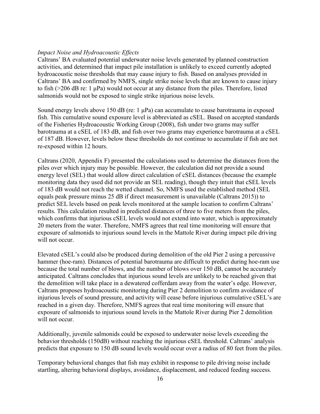#### *Impact Noise and Hydroacoustic Effects*

Caltrans' BA evaluated potential underwater noise levels generated by planned construction activities, and determined that impact pile installation is unlikely to exceed currently adopted hydroacoustic noise thresholds that may cause injury to fish. Based on analyses provided in Caltrans' BA and confirmed by NMFS, single strike noise levels that are known to cause injury to fish (>206 dB re: 1 μPa) would not occur at any distance from the piles. Therefore, listed salmonids would not be exposed to single strike injurious noise levels.

Sound energy levels above 150 dB (re:  $1 \mu Pa$ ) can accumulate to cause barotrauma in exposed fish. This cumulative sound exposure level is abbreviated as cSEL. Based on accepted standards of the Fisheries Hydroacoustic Working Group (2008), fish under two grams may suffer barotrauma at a cSEL of 183 dB, and fish over two grams may experience barotrauma at a cSEL of 187 dB. However, levels below these thresholds do not continue to accumulate if fish are not re-exposed within 12 hours.

Caltrans (2020, Appendix F) presented the calculations used to determine the distances from the piles over which injury may be possible. However, the calculation did not provide a sound energy level (SEL) that would allow direct calculation of cSEL distances (because the example monitoring data they used did not provide an SEL reading), though they intuit that cSEL levels of 183 dB would not reach the wetted channel. So, NMFS used the established method (SEL equals peak pressure minus 25 dB if direct measurement is unavailable (Caltrans 2015)) to predict SEL levels based on peak levels monitored at the sample location to confirm Caltrans' results. This calculation resulted in predicted distances of three to five meters from the piles, which confirms that injurious cSEL levels would not extend into water, which is approximately 20 meters from the water. Therefore, NMFS agrees that real time monitoring will ensure that exposure of salmonids to injurious sound levels in the Mattole River during impact pile driving will not occur.

Elevated cSEL's could also be produced during demolition of the old Pier 2 using a percussive hammer (hoe-ram). Distances of potential barotrauma are difficult to predict during hoe-ram use because the total number of blows, and the number of blows over 150 dB, cannot be accurately anticipated. Caltrans concludes that injurious sound levels are unlikely to be reached given that the demolition will take place in a dewatered cofferdam away from the water's edge. However, Caltrans proposes hydroacoustic monitoring during Pier 2 demolition to confirm avoidance of injurious levels of sound pressure, and activity will cease before injurious cumulative cSEL's are reached in a given day. Therefore, NMFS agrees that real time monitoring will ensure that exposure of salmonids to injurious sound levels in the Mattole River during Pier 2 demolition will not occur.

Additionally, juvenile salmonids could be exposed to underwater noise levels exceeding the behavior thresholds (150dB) without reaching the injurious cSEL threshold. Caltrans' analysis predicts that exposure to 150 dB sound levels would occur over a radius of 80 feet from the piles.

Temporary behavioral changes that fish may exhibit in response to pile driving noise include startling, altering behavioral displays, avoidance, displacement, and reduced feeding success.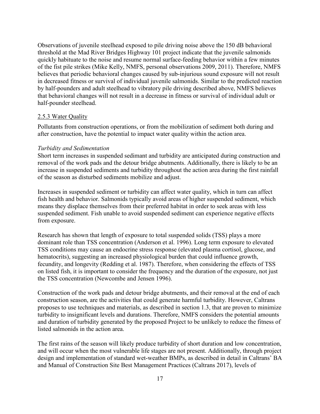Observations of juvenile steelhead exposed to pile driving noise above the 150 dB behavioral threshold at the Mad River Bridges Highway 101 project indicate that the juvenile salmonids quickly habituate to the noise and resume normal surface-feeding behavior within a few minutes of the fist pile strikes (Mike Kelly, NMFS, personal observations 2009, 2011). Therefore, NMFS believes that periodic behavioral changes caused by sub-injurious sound exposure will not result in decreased fitness or survival of individual juvenile salmonids. Similar to the predicted reaction by half-pounders and adult steelhead to vibratory pile driving described above, NMFS believes that behavioral changes will not result in a decrease in fitness or survival of individual adult or half-pounder steelhead.

#### <span id="page-22-0"></span>2.5.3 Water Quality

Pollutants from construction operations, or from the mobilization of sediment both during and after construction, have the potential to impact water quality within the action area.

#### *Turbidity and Sedimentation*

Short term increases in suspended sedimant and turbidity are anticipated during construction and removal of the work pads and the detour bridge abutments. Additionally, there is likely to be an increase in suspended sediments and turbidity throughout the action area during the first rainfall of the season as disturbed sediments mobilize and adjust.

Increases in suspended sediment or turbidity can affect water quality, which in turn can affect fish health and behavior. Salmonids typically avoid areas of higher suspended sediment, which means they displace themselves from their preferred habitat in order to seek areas with less suspended sediment. Fish unable to avoid suspended sediment can experience negative effects from exposure.

Research has shown that length of exposure to total suspended solids (TSS) plays a more dominant role than TSS concentration (Anderson et al. 1996). Long term exposure to elevated TSS conditions may cause an endocrine stress response (elevated plasma cortisol, glucose, and hematocrits), suggesting an increased physiological burden that could influence growth, fecundity, and longevity (Redding et al. 1987). Therefore, when considering the effects of TSS on listed fish, it is important to consider the frequency and the duration of the exposure, not just the TSS concentration (Newcombe and Jensen 1996).

Construction of the work pads and detour bridge abutments, and their removal at the end of each construction season, are the activities that could generate harmful turbidity. However, Caltrans proposes to use techniques and materials, as described in section 1.3, that are proven to minimize turbidity to insignificant levels and durations. Therefore, NMFS considers the potential amounts and duration of turbidity generated by the proposed Project to be unlikely to reduce the fitness of listed salmonids in the action area.

The first rains of the season will likely produce turbidity of short duration and low concentration, and will occur when the most vulnerable life stages are not present. Additionally, through project design and implementation of standard wet-weather BMPs, as described in detail in Caltrans' BA and Manual of Construction Site Best Management Practices (Caltrans 2017), levels of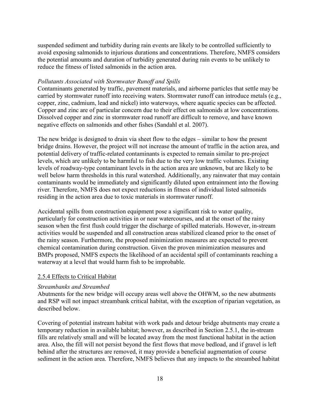suspended sediment and turbidity during rain events are likely to be controlled sufficiently to avoid exposing salmonids to injurious durations and concentrations. Therefore, NMFS considers the potential amounts and duration of turbidity generated during rain events to be unlikely to reduce the fitness of listed salmonids in the action area.

#### *Pollutants Associated with Stormwater Runoff and Spills*

Contaminants generated by traffic, pavement materials, and airborne particles that settle may be carried by stormwater runoff into receiving waters. Stormwater runoff can introduce metals (e.g., copper, zinc, cadmium, lead and nickel) into waterways, where aquatic species can be affected. Copper and zinc are of particular concern due to their effect on salmonids at low concentrations. Dissolved copper and zinc in stormwater road runoff are difficult to remove, and have known negative effects on salmonids and other fishes (Sandahl et al. 2007).

The new bridge is designed to drain via sheet flow to the edges – similar to how the present bridge drains. However, the project will not increase the amount of traffic in the action area, and potential delivery of traffic-related contaminants is expected to remain similar to pre-project levels, which are unlikely to be harmful to fish due to the very low traffic volumes. Existing levels of roadway-type contaminant levels in the action area are unknown, but are likely to be well below harm thresholds in this rural watershed. Additionally, any rainwater that may contain contaminants would be immediately and significantly diluted upon entrainment into the flowing river. Therefore, NMFS does not expect reductions in fitness of individual listed salmonids residing in the action area due to toxic materials in stormwater runoff.

Accidental spills from construction equipment pose a significant risk to water quality, particularly for construction activities in or near watercourses, and at the onset of the rainy season when the first flush could trigger the discharge of spilled materials. However, in-stream activities would be suspended and all construction areas stabilized cleaned prior to the onset of the rainy season. Furthermore, the proposed minimization measures are expected to prevent chemical contamination during construction. Given the proven minimization measures and BMPs proposed, NMFS expects the likelihood of an accidental spill of contaminants reaching a waterway at a level that would harm fish to be improbable.

#### <span id="page-23-0"></span>2.5.4 Effects to Critical Habitat

#### *Streambanks and Streambed*

Abutments for the new bridge will occupy areas well above the OHWM, so the new abutments and RSP will not impact streambank critical habitat, with the exception of riparian vegetation, as described below.

Covering of potential instream habitat with work pads and detour bridge abutments may create a temporary reduction in available habitat; however, as described in Section 2.5.1, the in-stream fills are relatively small and will be located away from the most functional habitat in the action area. Also, the fill will not persist beyond the first flows that move bedload, and if gravel is left behind after the structures are removed, it may provide a beneficial augmentation of course sediment in the action area. Therefore, NMFS believes that any impacts to the streambed habitat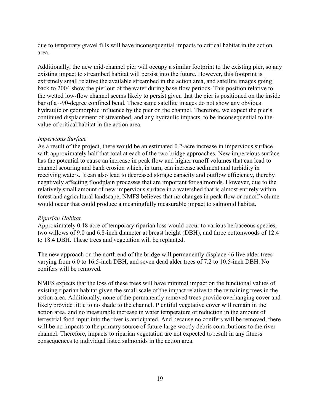due to temporary gravel fills will have inconsequential impacts to critical habitat in the action area.

Additionally, the new mid-channel pier will occupy a similar footprint to the existing pier, so any existing impact to streambed habitat will persist into the future. However, this footprint is extremely small relative the available streambed in the action area, and satellite images going back to 2004 show the pier out of the water during base flow periods. This position relative to the wetted low-flow channel seems likely to persist given that the pier is positioned on the inside bar of a ~90-degree confined bend. These same satellite images do not show any obvious hydraulic or geomorphic influence by the pier on the channel. Therefore, we expect the pier's continued displacement of streambed, and any hydraulic impacts, to be inconsequential to the value of critical habitat in the action area.

#### *Impervious Surface*

As a result of the project, there would be an estimated 0.2-acre increase in impervious surface, with approximately half that total at each of the two bridge approaches. New impervious surface has the potential to cause an increase in peak flow and higher runoff volumes that can lead to channel scouring and bank erosion which, in turn, can increase sediment and turbidity in receiving waters. It can also lead to decreased storage capacity and outflow efficiency, thereby negatively affecting floodplain processes that are important for salmonids. However, due to the relatively small amount of new impervious surface in a watershed that is almost entirely within forest and agricultural landscape, NMFS believes that no changes in peak flow or runoff volume would occur that could produce a meaningfully measurable impact to salmonid habitat.

#### *Riparian Habitat*

Approximately 0.18 acre of temporary riparian loss would occur to various herbaceous species, two willows of 9.0 and 6.8-inch diameter at breast height (DBH), and three cottonwoods of 12.4 to 18.4 DBH. These trees and vegetation will be replanted.

The new approach on the north end of the bridge will permanently displace 46 live alder trees varying from 6.0 to 16.5-inch DBH, and seven dead alder trees of 7.2 to 10.5-inch DBH. No conifers will be removed.

NMFS expects that the loss of these trees will have minimal impact on the functional values of existing riparian habitat given the small scale of the impact relative to the remaining trees in the action area. Additionally, none of the permanently removed trees provide overhanging cover and likely provide little to no shade to the channel. Plentiful vegetative cover will remain in the action area, and no measurable increase in water temperature or reduction in the amount of terrestrial food input into the river is anticipated. And because no conifers will be removed, there will be no impacts to the primary source of future large woody debris contributions to the river channel. Therefore, impacts to riparian vegetation are not expected to result in any fitness consequences to individual listed salmonids in the action area.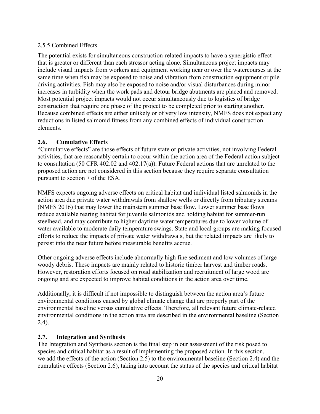#### <span id="page-25-0"></span>2.5.5 Combined Effects

The potential exists for simultaneous construction-related impacts to have a synergistic effect that is greater or different than each stressor acting alone. Simultaneous project impacts may include visual impacts from workers and equipment working near or over the watercourses at the same time when fish may be exposed to noise and vibration from construction equipment or pile driving activities. Fish may also be exposed to noise and/or visual disturbances during minor increases in turbidity when the work pads and detour bridge abutments are placed and removed. Most potential project impacts would not occur simultaneously due to logistics of bridge construction that require one phase of the project to be completed prior to starting another. Because combined effects are either unlikely or of very low intensity, NMFS does not expect any reductions in listed salmonid fitness from any combined effects of individual construction elements.

#### <span id="page-25-1"></span>**2.6. Cumulative Effects**

"Cumulative effects" are those effects of future state or private activities, not involving Federal activities, that are reasonably certain to occur within the action area of the Federal action subject to consultation (50 CFR 402.02 and 402.17(a)). Future Federal actions that are unrelated to the proposed action are not considered in this section because they require separate consultation pursuant to section 7 of the ESA.

NMFS expects ongoing adverse effects on critical habitat and individual listed salmonids in the action area due private water withdrawals from shallow wells or directly from tributary streams (NMFS 2016) that may lower the mainstem summer base flow. Lower summer base flows reduce available rearing habitat for juvenile salmonids and holding habitat for summer-run steelhead, and may contribute to higher daytime water temperatures due to lower volume of water available to moderate daily temperature swings. State and local groups are making focused efforts to reduce the impacts of private water withdrawals, but the related impacts are likely to persist into the near future before measurable benefits accrue.

Other ongoing adverse effects include abnormally high fine sediment and low volumes of large woody debris. These impacts are mainly related to historic timber harvest and timber roads. However, restoration efforts focused on road stabilization and recruitment of large wood are ongoing and are expected to improve habitat conditions in the action area over time.

Additionally, it is difficult if not impossible to distinguish between the action area's future environmental conditions caused by global climate change that are properly part of the environmental baseline versus cumulative effects. Therefore, all relevant future climate-related environmental conditions in the action area are described in the environmental baseline (Section 2.4).

#### <span id="page-25-2"></span>**2.7. Integration and Synthesis**

The Integration and Synthesis section is the final step in our assessment of the risk posed to species and critical habitat as a result of implementing the proposed action. In this section, we add the effects of the action (Section 2.5) to the environmental baseline (Section 2.4) and the cumulative effects (Section 2.6), taking into account the status of the species and critical habitat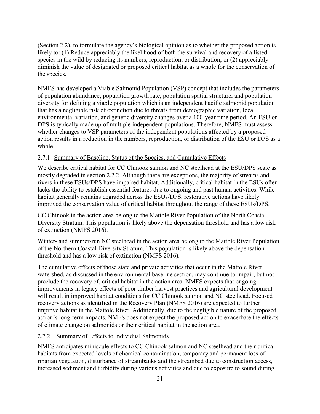(Section 2.2), to formulate the agency's biological opinion as to whether the proposed action is likely to: (1) Reduce appreciably the likelihood of both the survival and recovery of a listed species in the wild by reducing its numbers, reproduction, or distribution; or (2) appreciably diminish the value of designated or proposed critical habitat as a whole for the conservation of the species.

NMFS has developed a Viable Salmonid Population (VSP) concept that includes the parameters of population abundance, population growth rate, population spatial structure, and population diversity for defining a viable population which is an independent Pacific salmonid population that has a negligible risk of extinction due to threats from demographic variation, local environmental variation, and genetic diversity changes over a 100-year time period. An ESU or DPS is typically made up of multiple independent populations. Therefore, NMFS must assess whether changes to VSP parameters of the independent populations affected by a proposed action results in a reduction in the numbers, reproduction, or distribution of the ESU or DPS as a whole.

#### <span id="page-26-0"></span>2.7.1 Summary of Baseline, Status of the Species, and Cumulative Effects

We describe critical habitat for CC Chinook salmon and NC steelhead at the ESU/DPS scale as mostly degraded in section 2.2.2. Although there are exceptions, the majority of streams and rivers in these ESUs/DPS have impaired habitat. Additionally, critical habitat in the ESUs often lacks the ability to establish essential features due to ongoing and past human activities. While habitat generally remains degraded across the ESUs/DPS, restorative actions have likely improved the conservation value of critical habitat throughout the range of these ESUs/DPS.

CC Chinook in the action area belong to the Mattole River Population of the North Coastal Diversity Stratum. This population is likely above the depensation threshold and has a low risk of extinction (NMFS 2016).

Winter- and summer-run NC steelhead in the action area belong to the Mattole River Population of the Northern Coastal Diversity Stratum. This population is likely above the depensation threshold and has a low risk of extinction (NMFS 2016).

The cumulative effects of those state and private activities that occur in the Mattole River watershed, as discussed in the environmental baseline section, may continue to impair, but not preclude the recovery of, critical habitat in the action area. NMFS expects that ongoing improvements in legacy effects of poor timber harvest practices and agricultural development will result in improved habitat conditions for CC Chinook salmon and NC steelhead. Focused recovery actions as identified in the Recovery Plan (NMFS 2016) are expected to further improve habitat in the Mattole River. Additionally, due to the negligible nature of the proposed action's long-term impacts, NMFS does not expect the proposed action to exacerbate the effects of climate change on salmonids or their critical habitat in the action area.

#### <span id="page-26-1"></span>2.7.2 Summary of Effects to Individual Salmonids

NMFS anticipates miniscule effects to CC Chinook salmon and NC steelhead and their critical habitats from expected levels of chemical contamination, temporary and permanent loss of riparian vegetation, disturbance of streambanks and the streambed due to construction access, increased sediment and turbidity during various activities and due to exposure to sound during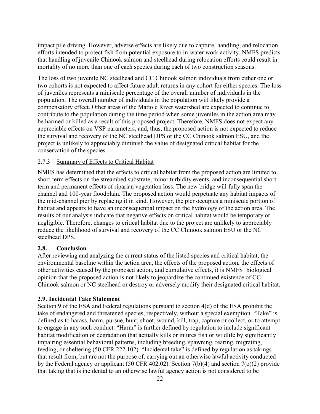impact pile driving. However, adverse effects are likely due to capture, handling, and relocation efforts intended to protect fish from potential exposure to in-water work activity. NMFS predicts that handling of juvenile Chinook salmon and steelhead during relocation efforts could result in mortality of no more than one of each species during each of two construction seasons.

The loss of two juvenile NC steelhead and CC Chinook salmon individuals from either one or two cohorts is not expected to affect future adult returns in any cohort for either species. The loss of juveniles represents a miniscule percentage of the overall number of individuals in the population. The overall number of individuals in the population will likely provide a compensatory effect. Other areas of the Mattole River watershed are expected to continue to contribute to the population during the time period when some juveniles in the action area may be harmed or killed as a result of this proposed project. Therefore, NMFS does not expect any appreciable effects on VSP parameters, and, thus, the proposed action is not expected to reduce the survival and recovery of the NC steelhead DPS or the CC Chinook salmon ESU, and the project is unlikely to appreciably diminish the value of designated critical habitat for the conservation of the species.

#### <span id="page-27-0"></span>2.7.3 Summary of Effects to Critical Habitat

NMFS has determined that the effects to critical habitat from the proposed action are limited to short-term effects on the streambed substrate, minor turbidity events, and inconsequential shortterm and permanent effects of riparian vegetation loss. The new bridge will fully span the channel and 100-year floodplain. The proposed action would perpetuate any habitat impacts of the mid-channel pier by replacing it in kind. However, the pier occupies a miniscule portion of habitat and appears to have an inconsequential impact on the hydrology of the action area. The results of our analysis indicate that negative effects on critical habitat would be temporary or negligible. Therefore, changes to critical habitat due to the project are unlikely to appreciably reduce the likelihood of survival and recovery of the CC Chinook salmon ESU or the NC steelhead DPS.

#### <span id="page-27-1"></span>**2.8. Conclusion**

After reviewing and analyzing the current status of the listed species and critical habitat, the environmental baseline within the action area, the effects of the proposed action, the effects of other activities caused by the proposed action, and cumulative effects, it is NMFS' biological opinion that the proposed action is not likely to jeopardize the continued existence of CC Chinook salmon or NC steelhead or destroy or adversely modify their designated critical habitat.

#### <span id="page-27-2"></span>**2.9. Incidental Take Statement**

Section 9 of the ESA and Federal regulations pursuant to section 4(d) of the ESA prohibit the take of endangered and threatened species, respectively, without a special exemption. "Take" is defined as to harass, harm, pursue, hunt, shoot, wound, kill, trap, capture or collect, or to attempt to engage in any such conduct. "Harm" is further defined by regulation to include significant habitat modification or degradation that actually kills or injures fish or wildlife by significantly impairing essential behavioral patterns, including breeding, spawning, rearing, migrating, feeding, or sheltering (50 CFR 222.102). "Incidental take" is defined by regulation as takings that result from, but are not the purpose of, carrying out an otherwise lawful activity conducted by the Federal agency or applicant (50 CFR 402.02). Section 7(b)(4) and section 7(o)(2) provide that taking that is incidental to an otherwise lawful agency action is not considered to be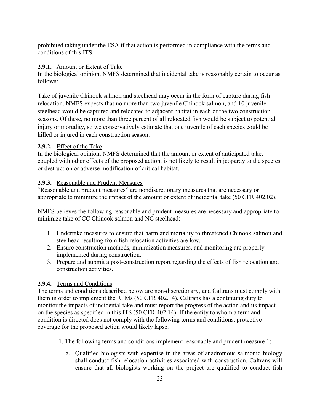prohibited taking under the ESA if that action is performed in compliance with the terms and conditions of this ITS.

#### <span id="page-28-0"></span>**2.9.1.** Amount or Extent of Take

In the biological opinion, NMFS determined that incidental take is reasonably certain to occur as follows:

Take of juvenile Chinook salmon and steelhead may occur in the form of capture during fish relocation. NMFS expects that no more than two juvenile Chinook salmon, and 10 juvenile steelhead would be captured and relocated to adjacent habitat in each of the two construction seasons. Of these, no more than three percent of all relocated fish would be subject to potential injury or mortality, so we conservatively estimate that one juvenile of each species could be killed or injured in each construction season.

#### <span id="page-28-1"></span>**2.9.2.** Effect of the Take

In the biological opinion, NMFS determined that the amount or extent of anticipated take, coupled with other effects of the proposed action, is not likely to result in jeopardy to the species or destruction or adverse modification of critical habitat.

#### <span id="page-28-2"></span>**2.9.3.** Reasonable and Prudent Measures

"Reasonable and prudent measures" are nondiscretionary measures that are necessary or appropriate to minimize the impact of the amount or extent of incidental take (50 CFR 402.02).

NMFS believes the following reasonable and prudent measures are necessary and appropriate to minimize take of CC Chinook salmon and NC steelhead:

- 1. Undertake measures to ensure that harm and mortality to threatened Chinook salmon and steelhead resulting from fish relocation activities are low.
- 2. Ensure construction methods, minimization measures, and monitoring are properly implemented during construction.
- 3. Prepare and submit a post-construction report regarding the effects of fish relocation and construction activities.

#### <span id="page-28-3"></span>**2.9.4.** Terms and Conditions

The terms and conditions described below are non-discretionary, and Caltrans must comply with them in order to implement the RPMs (50 CFR 402.14). Caltrans has a continuing duty to monitor the impacts of incidental take and must report the progress of the action and its impact on the species as specified in this ITS (50 CFR 402.14). If the entity to whom a term and condition is directed does not comply with the following terms and conditions, protective coverage for the proposed action would likely lapse.

- 1. The following terms and conditions implement reasonable and prudent measure 1:
	- a. Qualified biologists with expertise in the areas of anadromous salmonid biology shall conduct fish relocation activities associated with construction. Caltrans will ensure that all biologists working on the project are qualified to conduct fish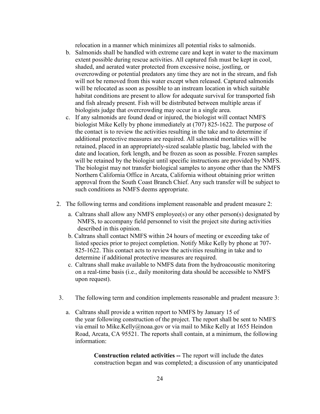relocation in a manner which minimizes all potential risks to salmonids.

- b. Salmonids shall be handled with extreme care and kept in water to the maximum extent possible during rescue activities. All captured fish must be kept in cool, shaded, and aerated water protected from excessive noise, jostling, or overcrowding or potential predators any time they are not in the stream, and fish will not be removed from this water except when released. Captured salmonids will be relocated as soon as possible to an instream location in which suitable habitat conditions are present to allow for adequate survival for transported fish and fish already present. Fish will be distributed between multiple areas if biologists judge that overcrowding may occur in a single area.
- c. If any salmonids are found dead or injured, the biologist will contact NMFS biologist Mike Kelly by phone immediately at (707) 825-1622. The purpose of the contact is to review the activities resulting in the take and to determine if additional protective measures are required. All salmonid mortalities will be retained, placed in an appropriately-sized sealable plastic bag, labeled with the date and location, fork length, and be frozen as soon as possible. Frozen samples will be retained by the biologist until specific instructions are provided by NMFS. The biologist may not transfer biological samples to anyone other than the NMFS Northern California Office in Arcata, California without obtaining prior written approval from the South Coast Branch Chief. Any such transfer will be subject to such conditions as NMFS deems appropriate.
- 2. The following terms and conditions implement reasonable and prudent measure 2:
	- a. Caltrans shall allow any NMFS employee(s) or any other person(s) designated by NMFS, to accompany field personnel to visit the project site during activities described in this opinion.
	- b. Caltrans shall contact NMFS within 24 hours of meeting or exceeding take of listed species prior to project completion. Notify Mike Kelly by phone at 707- 825-1622. This contact acts to review the activities resulting in take and to determine if additional protective measures are required.
	- c. Caltrans shall make available to NMFS data from the hydroacoustic monitoring on a real-time basis (i.e., daily monitoring data should be accessible to NMFS upon request).
- 3. The following term and condition implements reasonable and prudent measure 3:
	- a. Caltrans shall provide a written report to NMFS by January 15 of the year following construction of the project. The report shall be sent to NMFS via email to Mike.Kelly@noaa.gov or via mail to Mike Kelly at 1655 Heindon Road, Arcata, CA 95521. The reports shall contain, at a minimum, the following information:

**Construction related activities --** The report will include the dates construction began and was completed; a discussion of any unanticipated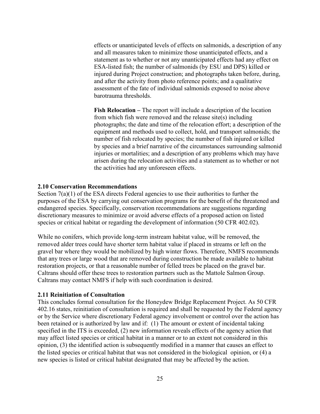effects or unanticipated levels of effects on salmonids, a description of any and all measures taken to minimize those unanticipated effects, and a statement as to whether or not any unanticipated effects had any effect on ESA-listed fish; the number of salmonids (by ESU and DPS) killed or injured during Project construction; and photographs taken before, during, and after the activity from photo reference points; and a qualitative assessment of the fate of individual salmonids exposed to noise above barotrauma thresholds.

**Fish Relocation –** The report will include a description of the location from which fish were removed and the release site(s) including photographs; the date and time of the relocation effort; a description of the equipment and methods used to collect, hold, and transport salmonids; the number of fish relocated by species; the number of fish injured or killed by species and a brief narrative of the circumstances surrounding salmonid injuries or mortalities; and a description of any problems which may have arisen during the relocation activities and a statement as to whether or not the activities had any unforeseen effects.

#### <span id="page-30-0"></span>**2.10 Conservation Recommendations**

Section  $7(a)(1)$  of the ESA directs Federal agencies to use their authorities to further the purposes of the ESA by carrying out conservation programs for the benefit of the threatened and endangered species. Specifically, conservation recommendations are suggestions regarding discretionary measures to minimize or avoid adverse effects of a proposed action on listed species or critical habitat or regarding the development of information (50 CFR 402.02).

While no conifers, which provide long-term instream habitat value, will be removed, the removed alder trees could have shorter term habitat value if placed in streams or left on the gravel bar where they would be mobilized by high winter flows. Therefore, NMFS recommends that any trees or large wood that are removed during construction be made available to habitat restoration projects, or that a reasonable number of felled trees be placed on the gravel bar. Caltrans should offer these trees to restoration partners such as the Mattole Salmon Group. Caltrans may contact NMFS if help with such coordination is desired.

#### <span id="page-30-1"></span>**2.11 Reinitiation of Consultation**

This concludes formal consultation for the Honeydew Bridge Replacement Project. As 50 CFR 402.16 states, reinitiation of consultation is required and shall be requested by the Federal agency or by the Service where discretionary Federal agency involvement or control over the action has been retained or is authorized by law and if: (1) The amount or extent of incidental taking specified in the ITS is exceeded, (2) new information reveals effects of the agency action that may affect listed species or critical habitat in a manner or to an extent not considered in this opinion, (3) the identified action is subsequently modified in a manner that causes an effect to the listed species or critical habitat that was not considered in the biological opinion, or (4) a new species is listed or critical habitat designated that may be affected by the action.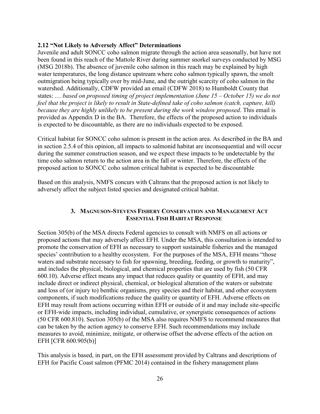#### <span id="page-31-0"></span>**2.12 "Not Likely to Adversely Affect" Determinations**

Juvenile and adult SONCC coho salmon migrate through the action area seasonally, but have not been found in this reach of the Mattole River during summer snorkel surveys conducted by MSG (MSG 2018b). The absence of juvenile coho salmon in this reach may be explained by high water temperatures, the long distance upstream where coho salmon typically spawn, the smolt outmigration being typically over by mid-June, and the outright scarcity of coho salmon in the watershed. Additionally, CDFW provided an email (CDFW 2018) to Humboldt County that states: … *based on proposed timing of project implementation (June 15 – October 15) we do not feel that the project is likely to result in State-defined take of coho salmon (catch, capture, kill) because they are highly unlikely to be present during the work window proposed*. This email is provided as Appendix D in the BA. Therefore, the effects of the proposed action to individuals is expected to be discountable, as there are no individuals expected to be exposed.

Critical habitat for SONCC coho salmon is present in the action area. As described in the BA and in section 2.5.4 of this opinion, all impacts to salmonid habitat are inconsequential and will occur during the summer construction season, and we expect these impacts to be undetectable by the time coho salmon return to the action area in the fall or winter. Therefore, the effects of the proposed action to SONCC coho salmon critical habitat is expected to be discountable

Based on this analysis, NMFS concurs with Caltrans that the proposed action is not likely to adversely affect the subject listed species and designated critical habitat.

#### **3. MAGNUSON-STEVENS FISHERY CONSERVATION AND MANAGEMENT ACT ESSENTIAL FISH HABITAT RESPONSE**

<span id="page-31-1"></span>Section 305(b) of the MSA directs Federal agencies to consult with NMFS on all actions or proposed actions that may adversely affect EFH. Under the MSA, this consultation is intended to promote the conservation of EFH as necessary to support sustainable fisheries and the managed species' contribution to a healthy ecosystem. For the purposes of the MSA, EFH means "those waters and substrate necessary to fish for spawning, breeding, feeding, or growth to maturity", and includes the physical, biological, and chemical properties that are used by fish (50 CFR 600.10). Adverse effect means any impact that reduces quality or quantity of EFH, and may include direct or indirect physical, chemical, or biological alteration of the waters or substrate and loss of (or injury to) benthic organisms, prey species and their habitat, and other ecosystem components, if such modifications reduce the quality or quantity of EFH. Adverse effects on EFH may result from actions occurring within EFH or outside of it and may include site-specific or EFH-wide impacts, including individual, cumulative, or synergistic consequences of actions (50 CFR 600.810). Section 305(b) of the MSA also requires NMFS to recommend measures that can be taken by the action agency to conserve EFH. Such recommendations may include measures to avoid, minimize, mitigate, or otherwise offset the adverse effects of the action on EFH [CFR 600.905(b)]

This analysis is based, in part, on the EFH assessment provided by Caltrans and descriptions of EFH for Pacific Coast salmon (PFMC 2014) contained in the fishery management plans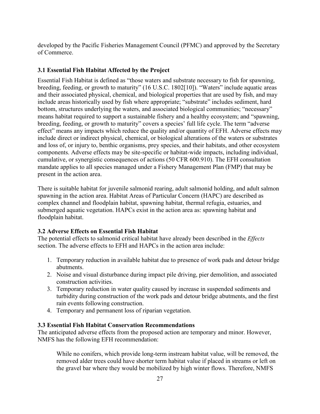developed by the Pacific Fisheries Management Council (PFMC) and approved by the Secretary of Commerce.

#### <span id="page-32-0"></span>**3.1 Essential Fish Habitat Affected by the Project**

Essential Fish Habitat is defined as "those waters and substrate necessary to fish for spawning, breeding, feeding, or growth to maturity" (16 U.S.C. 1802[10]). "Waters" include aquatic areas and their associated physical, chemical, and biological properties that are used by fish, and may include areas historically used by fish where appropriate; "substrate" includes sediment, hard bottom, structures underlying the waters, and associated biological communities; "necessary" means habitat required to support a sustainable fishery and a healthy ecosystem; and "spawning, breeding, feeding, or growth to maturity" covers a species' full life cycle. The term "adverse effect" means any impacts which reduce the quality and/or quantity of EFH. Adverse effects may include direct or indirect physical, chemical, or biological alterations of the waters or substrates and loss of, or injury to, benthic organisms, prey species, and their habitats, and other ecosystem components. Adverse effects may be site-specific or habitat-wide impacts, including individual, cumulative, or synergistic consequences of actions (50 CFR 600.910). The EFH consultation mandate applies to all species managed under a Fishery Management Plan (FMP) that may be present in the action area.

There is suitable habitat for juvenile salmonid rearing, adult salmonid holding, and adult salmon spawning in the action area. Habitat Areas of Particular Concern (HAPC) are described as complex channel and floodplain habitat, spawning habitat, thermal refugia, estuaries, and submerged aquatic vegetation. HAPCs exist in the action area as: spawning habitat and floodplain habitat.

#### <span id="page-32-1"></span>**3.2 Adverse Effects on Essential Fish Habitat**

The potential effects to salmonid critical habitat have already been described in the *Effects* section. The adverse effects to EFH and HAPCs in the action area include:

- 1. Temporary reduction in available habitat due to presence of work pads and detour bridge abutments.
- 2. Noise and visual disturbance during impact pile driving, pier demolition, and associated construction activities.
- 3. Temporary reduction in water quality caused by increase in suspended sediments and turbidity during construction of the work pads and detour bridge abutments, and the first rain events following construction.
- 4. Temporary and permanent loss of riparian vegetation.

#### <span id="page-32-2"></span>**3.3 Essential Fish Habitat Conservation Recommendations**

The anticipated adverse effects from the proposed action are temporary and minor. However, NMFS has the following EFH recommendation:

While no conifers, which provide long-term instream habitat value, will be removed, the removed alder trees could have shorter term habitat value if placed in streams or left on the gravel bar where they would be mobilized by high winter flows. Therefore, NMFS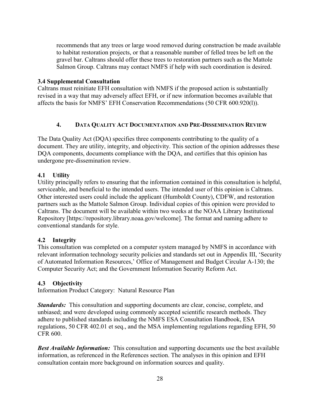recommends that any trees or large wood removed during construction be made available to habitat restoration projects, or that a reasonable number of felled trees be left on the gravel bar. Caltrans should offer these trees to restoration partners such as the Mattole Salmon Group. Caltrans may contact NMFS if help with such coordination is desired.

#### <span id="page-33-0"></span>**3.4 Supplemental Consultation**

Caltrans must reinitiate EFH consultation with NMFS if the proposed action is substantially revised in a way that may adversely affect EFH, or if new information becomes available that affects the basis for NMFS' EFH Conservation Recommendations (50 CFR 600.920(l)).

#### **4. DATA QUALITY ACT DOCUMENTATION AND PRE-DISSEMINATION REVIEW**

<span id="page-33-1"></span>The Data Quality Act (DQA) specifies three components contributing to the quality of a document. They are utility, integrity, and objectivity. This section of the opinion addresses these DQA components, documents compliance with the DQA, and certifies that this opinion has undergone pre-dissemination review.

#### <span id="page-33-2"></span>**4.1 Utility**

Utility principally refers to ensuring that the information contained in this consultation is helpful, serviceable, and beneficial to the intended users. The intended user of this opinion is Caltrans. Other interested users could include the applicant (Humboldt County), CDFW, and restoration partners such as the Mattole Salmon Group. Individual copies of this opinion were provided to Caltrans. The document will be available within two weeks at the NOAA Library Institutional Repository [https://repository.library.noaa.gov/welcome]. The format and naming adhere to conventional standards for style.

#### <span id="page-33-3"></span>**4.2 Integrity**

This consultation was completed on a computer system managed by NMFS in accordance with relevant information technology security policies and standards set out in Appendix III, 'Security of Automated Information Resources,' Office of Management and Budget Circular A-130; the Computer Security Act; and the Government Information Security Reform Act.

#### <span id="page-33-4"></span>**4.3 Objectivity**

Information Product Category: Natural Resource Plan

*Standards:* This consultation and supporting documents are clear, concise, complete, and unbiased; and were developed using commonly accepted scientific research methods. They adhere to published standards including the NMFS ESA Consultation Handbook, ESA regulations, 50 CFR 402.01 et seq., and the MSA implementing regulations regarding EFH, 50 CFR 600.

**Best Available Information:** This consultation and supporting documents use the best available information, as referenced in the References section. The analyses in this opinion and EFH consultation contain more background on information sources and quality.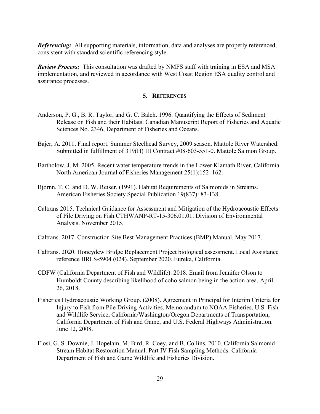*Referencing:* All supporting materials, information, data and analyses are properly referenced, consistent with standard scientific referencing style.

*Review Process:* This consultation was drafted by NMFS staff with training in ESA and MSA implementation, and reviewed in accordance with West Coast Region ESA quality control and assurance processes.

#### **5. REFERENCES**

- <span id="page-34-0"></span>Anderson, P. G., B. R. Taylor, and G. C. Balch. 1996. Quantifying the Effects of Sediment Release on Fish and their Habitats. Canadian Manuscript Report of Fisheries and Aquatic Sciences No. 2346, Department of Fisheries and Oceans.
- Bajer, A. 2011. Final report. Summer Steelhead Survey, 2009 season. Mattole River Watershed. Submitted in fulfillment of 319(H) III Contract #08-603-551-0. Mattole Salmon Group.
- Bartholow, J. M. 2005. Recent water temperature trends in the Lower Klamath River, California. North American Journal of Fisheries Management 25(1):152–162.
- Bjornn, T. C. and D. W. Reiser. (1991). Habitat Requirements of Salmonids in Streams. American Fisheries Society Special Publication 19(837): 83-138.
- Caltrans 2015. Technical Guidance for Assessment and Mitigation of the Hydroacoustic Effects of Pile Driving on Fish.CTHWANP-RT-15-306.01.01. Division of Environmental Analysis. November 2015.
- Caltrans. 2017. Construction Site Best Management Practices (BMP) Manual. May 2017.
- Caltrans. 2020. Honeydew Bridge Replacement Project biological assessment. Local Assistance reference BRLS-5904 (024). September 2020. Eureka, California.
- CDFW (California Department of Fish and Wildlife). 2018. Email from Jennifer Olson to Humboldt County describing likelihood of coho salmon being in the action area. April 26, 2018.
- Fisheries Hydroacoustic Working Group. (2008). Agreement in Principal for Interim Criteria for Injury to Fish from Pile Driving Activities. Memorandum to NOAA Fisheries, U.S. Fish and Wildlife Service, California/Washington/Oregon Departments of Transportation, California Department of Fish and Game, and U.S. Federal Highways Administration. June 12, 2008.
- Flosi, G. S. Downie, J. Hopelain, M. Bird, R. Coey, and B. Collins. 2010. California Salmonid Stream Habitat Restoration Manual. Part IV Fish Sampling Methods. California Department of Fish and Game Wildlife and Fisheries Division.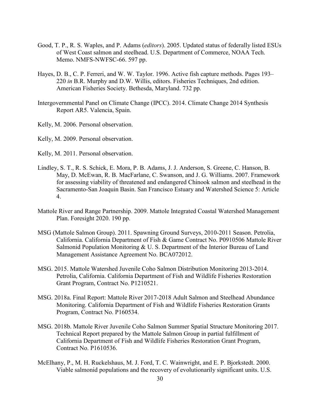- Good, T. P., R. S. Waples, and P. Adams (*editors*). 2005. Updated status of federally listed ESUs of West Coast salmon and steelhead. U.S. Department of Commerce, NOAA Tech. Memo. NMFS-NWFSC-66. 597 pp.
- Hayes, D. B., C. P. Ferreri, and W. W. Taylor. 1996. Active fish capture methods. Pages 193– 220 *in* B.R. Murphy and D.W. Willis, editors. Fisheries Techniques, 2nd edition. American Fisheries Society. Bethesda, Maryland. 732 pp.
- Intergovernmental Panel on Climate Change (IPCC). 2014. Climate Change 2014 Synthesis Report AR5. Valencia, Spain.
- Kelly, M. 2006. Personal observation.
- Kelly, M. 2009. Personal observation.
- Kelly, M. 2011. Personal observation.
- Lindley, S. T., R. S. Schick, E. Mora, P. B. Adams, J. J. Anderson, S. Greene, C. Hanson, B. May, D. McEwan, R. B. MacFarlane, C. Swanson, and J. G. Williams. 2007. Framework for assessing viability of threatened and endangered Chinook salmon and steelhead in the Sacramento-San Joaquin Basin. San Francisco Estuary and Watershed Science 5: Article 4.
- Mattole River and Range Partnership. 2009. Mattole Integrated Coastal Watershed Management Plan. Foresight 2020. 190 pp.
- MSG (Mattole Salmon Group). 2011. Spawning Ground Surveys, 2010-2011 Season. Petrolia, California. California Department of Fish & Game Contract No. P0910506 Mattole River Salmonid Population Monitoring & U. S. Department of the Interior Bureau of Land Management Assistance Agreement No. BCA072012.
- MSG. 2015. Mattole Watershed Juvenile Coho Salmon Distribution Monitoring 2013-2014. Petrolia, California. California Department of Fish and Wildlife Fisheries Restoration Grant Program, Contract No. P1210521.
- MSG. 2018a. Final Report: Mattole River 2017-2018 Adult Salmon and Steelhead Abundance Monitoring. California Department of Fish and Wildlife Fisheries Restoration Grants Program, Contract No. P160534.
- MSG. 2018b. Mattole River Juvenile Coho Salmon Summer Spatial Structure Monitoring 2017. Technical Report prepared by the Mattole Salmon Group in partial fulfillment of California Department of Fish and Wildlife Fisheries Restoration Grant Program, Contract No. P1610536.
- McElhany, P., M. H. Ruckelshaus, M. J. Ford, T. C. Wainwright, and E. P. Bjorkstedt. 2000. Viable salmonid populations and the recovery of evolutionarily significant units. U.S.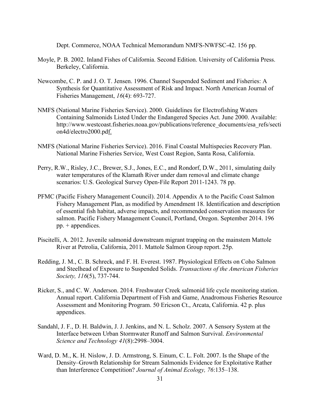Dept. Commerce, NOAA Technical Memorandum NMFS-NWFSC-42. 156 pp.

- Moyle, P. B. 2002. Inland Fishes of California. Second Edition. University of California Press. Berkeley, California.
- Newcombe, C. P. and J. O. T. Jensen. 1996. Channel Suspended Sediment and Fisheries: A Synthesis for Quantitative Assessment of Risk and Impact. North American Journal of Fisheries Management, *16*(4): 693-727.
- NMFS (National Marine Fisheries Service). 2000. Guidelines for Electrofishing Waters Containing Salmonids Listed Under the Endangered Species Act. June 2000. Available: [http://www.westcoast.fisheries.noaa.gov/publications/reference\\_documents/esa\\_refs/secti](http://www.westcoast.fisheries.noaa.gov/publications/reference_documents/esa_refs/section4d/electro2000.pd) on4d/electro2000.pd<u>f.</u>
- NMFS (National Marine Fisheries Service). 2016. Final Coastal Multispecies Recovery Plan. National Marine Fisheries Service, West Coast Region, Santa Rosa, California.
- Perry, R.W., Risley, J.C., Brewer, S.J., Jones, E.C., and Rondorf, D.W., 2011, simulating daily water temperatures of the Klamath River under dam removal and climate change scenarios: U.S. Geological Survey Open-File Report 2011-1243. 78 pp.
- PFMC (Pacific Fishery Management Council). 2014. Appendix A to the Pacific Coast Salmon Fishery Management Plan, as modified by Amendment 18. Identification and description of essential fish habitat, adverse impacts, and recommended conservation measures for salmon. Pacific Fishery Management Council, Portland, Oregon. September 2014. 196 pp. + appendices.
- Piscitelli, A. 2012. Juvenile salmonid downstream migrant trapping on the mainstem Mattole River at Petrolia, California, 2011. Mattole Salmon Group report. 25p.
- Redding, J. M., C. B. Schreck, and F. H. Everest. 1987. Physiological Effects on Coho Salmon and Steelhead of Exposure to Suspended Solids. *Transactions of the American Fisheries Society, 116*(5), 737-744.
- Ricker, S., and C. W. Anderson. 2014. Freshwater Creek salmonid life cycle monitoring station. Annual report. California Department of Fish and Game, Anadromous Fisheries Resource Assessment and Monitoring Program. 50 Ericson Ct., Arcata, California. 42 p. plus appendices.
- Sandahl, J. F., D. H. Baldwin, J. J. Jenkins, and N. L. Scholz. 2007. A Sensory System at the Interface between Urban Stormwater Runoff and Salmon Survival. *Environmental Science and Technology 41*(8):2998–3004.
- Ward, D. M., K. H. Nislow, J. D. Armstrong, S. Einum, C. L. Folt. 2007. Is the Shape of the Density–Growth Relationship for Stream Salmonids Evidence for Exploitative Rather than Interference Competition? *Journal of Animal Ecology, 76*:135–138.